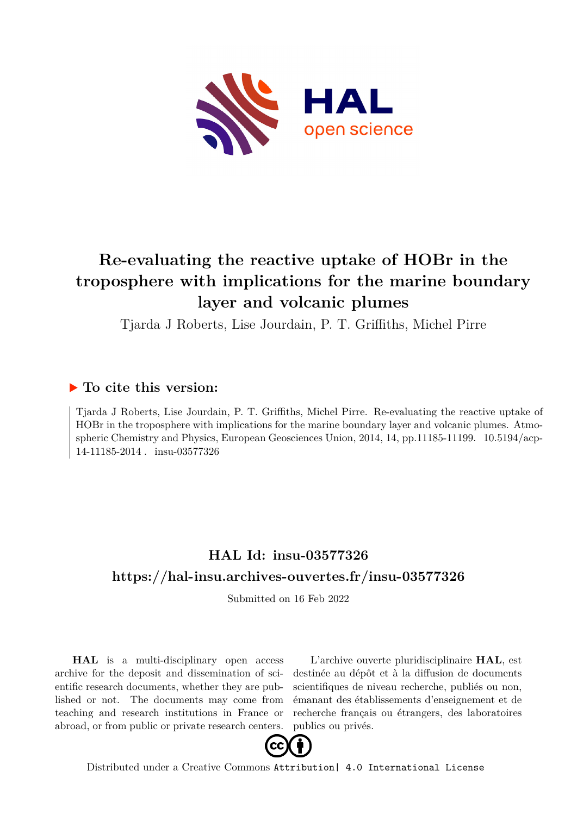

# **Re-evaluating the reactive uptake of HOBr in the troposphere with implications for the marine boundary layer and volcanic plumes**

Tjarda J Roberts, Lise Jourdain, P. T. Griffiths, Michel Pirre

## **To cite this version:**

Tjarda J Roberts, Lise Jourdain, P. T. Griffiths, Michel Pirre. Re-evaluating the reactive uptake of HOBr in the troposphere with implications for the marine boundary layer and volcanic plumes. Atmospheric Chemistry and Physics, European Geosciences Union, 2014, 14, pp.11185-11199. 10.5194/acp- $14-11185-2014$ . insu-03577326

## **HAL Id: insu-03577326 <https://hal-insu.archives-ouvertes.fr/insu-03577326>**

Submitted on 16 Feb 2022

**HAL** is a multi-disciplinary open access archive for the deposit and dissemination of scientific research documents, whether they are published or not. The documents may come from teaching and research institutions in France or abroad, or from public or private research centers.

L'archive ouverte pluridisciplinaire **HAL**, est destinée au dépôt et à la diffusion de documents scientifiques de niveau recherche, publiés ou non, émanant des établissements d'enseignement et de recherche français ou étrangers, des laboratoires publics ou privés.



Distributed under a Creative Commons [Attribution| 4.0 International License](http://creativecommons.org/licenses/by/4.0/)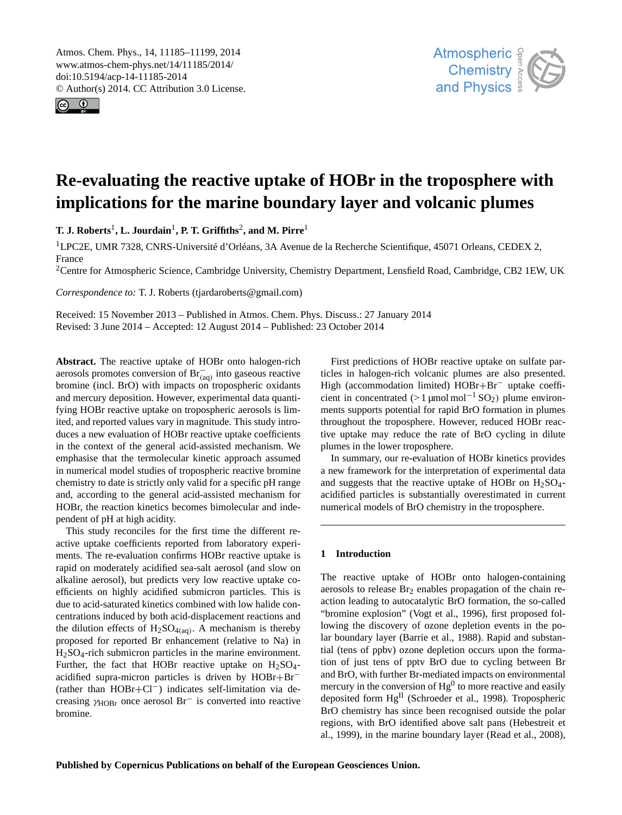Atmos. Chem. Phys., 14, 11185–11199, 2014 www.atmos-chem-phys.net/14/11185/2014/ doi:10.5194/acp-14-11185-2014 © Author(s) 2014. CC Attribution 3.0 License.





## **Re-evaluating the reactive uptake of HOBr in the troposphere with implications for the marine boundary layer and volcanic plumes**

**T. J. Roberts**<sup>1</sup> **, L. Jourdain**<sup>1</sup> **, P. T. Griffiths**<sup>2</sup> **, and M. Pirre**<sup>1</sup>

<sup>1</sup>LPC2E, UMR 7328, CNRS-Université d'Orléans, 3A Avenue de la Recherche Scientifique, 45071 Orleans, CEDEX 2, France

<sup>2</sup>Centre for Atmospheric Science, Cambridge University, Chemistry Department, Lensfield Road, Cambridge, CB2 1EW, UK

*Correspondence to:* T. J. Roberts (tjardaroberts@gmail.com)

Received: 15 November 2013 – Published in Atmos. Chem. Phys. Discuss.: 27 January 2014 Revised: 3 June 2014 – Accepted: 12 August 2014 – Published: 23 October 2014

**Abstract.** The reactive uptake of HOBr onto halogen-rich aerosols promotes conversion of  $\text{Br}_{(aq)}^-$  into gaseous reactive bromine (incl. BrO) with impacts on tropospheric oxidants and mercury deposition. However, experimental data quantifying HOBr reactive uptake on tropospheric aerosols is limited, and reported values vary in magnitude. This study introduces a new evaluation of HOBr reactive uptake coefficients in the context of the general acid-assisted mechanism. We emphasise that the termolecular kinetic approach assumed in numerical model studies of tropospheric reactive bromine chemistry to date is strictly only valid for a specific pH range and, according to the general acid-assisted mechanism for HOBr, the reaction kinetics becomes bimolecular and independent of pH at high acidity.

This study reconciles for the first time the different reactive uptake coefficients reported from laboratory experiments. The re-evaluation confirms HOBr reactive uptake is rapid on moderately acidified sea-salt aerosol (and slow on alkaline aerosol), but predicts very low reactive uptake coefficients on highly acidified submicron particles. This is due to acid-saturated kinetics combined with low halide concentrations induced by both acid-displacement reactions and the dilution effects of  $H_2SO_{4(aq)}$ . A mechanism is thereby proposed for reported Br enhancement (relative to Na) in H2SO4-rich submicron particles in the marine environment. Further, the fact that HOBr reactive uptake on  $H_2SO_4$ acidified supra-micron particles is driven by HOBr+Br<sup>−</sup> (rather than HOBr+Cl−) indicates self-limitation via decreasing γHOBr once aerosol Br<sup>−</sup> is converted into reactive bromine.

First predictions of HOBr reactive uptake on sulfate particles in halogen-rich volcanic plumes are also presented. High (accommodation limited) HOBr+Br<sup>−</sup> uptake coefficient in concentrated (> 1 µmol mol<sup>-1</sup> SO<sub>2</sub>) plume environments supports potential for rapid BrO formation in plumes throughout the troposphere. However, reduced HOBr reactive uptake may reduce the rate of BrO cycling in dilute plumes in the lower troposphere.

In summary, our re-evaluation of HOBr kinetics provides a new framework for the interpretation of experimental data and suggests that the reactive uptake of HOBr on  $H_2SO_4$ acidified particles is substantially overestimated in current numerical models of BrO chemistry in the troposphere.

#### **1 Introduction**

The reactive uptake of HOBr onto halogen-containing aerosols to release Br<sub>2</sub> enables propagation of the chain reaction leading to autocatalytic BrO formation, the so-called "bromine explosion" (Vogt et al., 1996), first proposed following the discovery of ozone depletion events in the polar boundary layer (Barrie et al., 1988). Rapid and substantial (tens of ppbv) ozone depletion occurs upon the formation of just tens of pptv BrO due to cycling between Br and BrO, with further Br-mediated impacts on environmental mercury in the conversion of  $Hg^0$  to more reactive and easily deposited form  $Hg<sup>II</sup>$  (Schroeder et al., 1998). Tropospheric BrO chemistry has since been recognised outside the polar regions, with BrO identified above salt pans (Hebestreit et al., 1999), in the marine boundary layer (Read et al., 2008),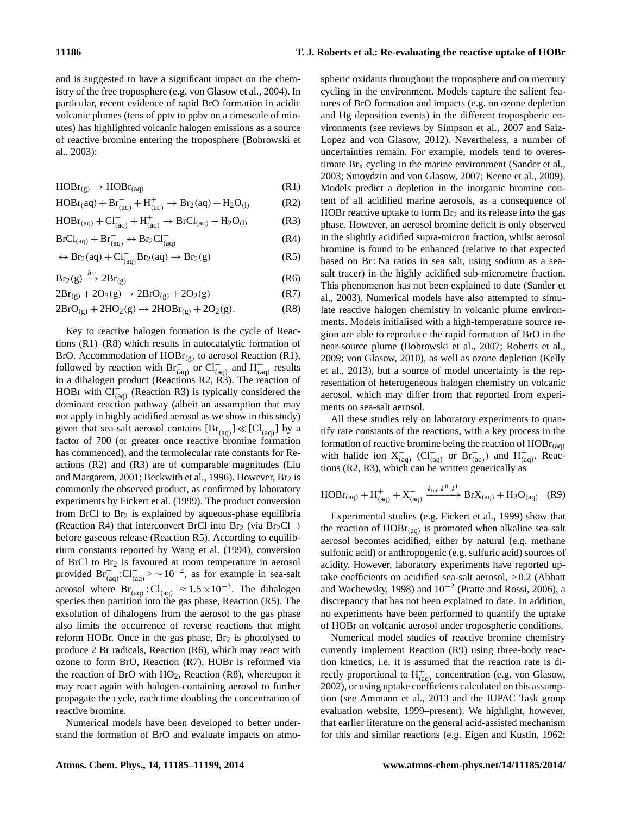and is suggested to have a significant impact on the chemistry of the free troposphere (e.g. von Glasow et al., 2004). In particular, recent evidence of rapid BrO formation in acidic volcanic plumes (tens of pptv to ppbv on a timescale of minutes) has highlighted volcanic halogen emissions as a source of reactive bromine entering the troposphere (Bobrowski et al., 2003):

$$
HOBr_{(g)} \to HOBr_{(aq)} \tag{R1}
$$

$$
HOBr(aq) + Br_{(aq)}^- + H_{(aq)}^+ \to Br_2(aq) + H_2O_{(1)} \tag{R2}
$$

$$
HOBr_{(aq)} + Cl^-_{(aq)} + H^+_{(aq)} \rightarrow BrCl_{(aq)} + H_2O_{(l)} \tag{R3}
$$

$$
BrCl_{(aq)} + Br_{(aq)}^- \leftrightarrow Br_2Cl_{(aq)}^- \tag{R4}
$$

$$
\leftrightarrow Br_2(aq) + Cl^-_{(aq)}Br_2(aq) \rightarrow Br_2(g) \tag{R5}
$$

$$
Br_2(g) \xrightarrow{h\nu} 2Br_{(g)} \tag{R6}
$$

$$
2Br_{(g)} + 2O_3(g) \rightarrow 2BrO_{(g)} + 2O_2(g)
$$
 (R7)

$$
2\text{BrO}_{(g)} + 2\text{HO}_2(g) \rightarrow 2\text{HOBr}_{(g)} + 2\text{O}_2(g). \tag{R8}
$$

Key to reactive halogen formation is the cycle of Reactions (R1)–(R8) which results in autocatalytic formation of BrO. Accommodation of  $HOBr_{(g)}$  to aerosol Reaction (R1), followed by reaction with  $\text{Br}^{-\infty}_{\text{(aq)}}$  or  $\text{Cl}^{-}_{\text{(aq)}}$  and  $\text{H}^{+}_{\text{(aq)}}$  results in a dihalogen product (Reactions R2, R3). The reaction of HOBr with  $Cl_{(aq)}^{-}$  (Reaction R3) is typically considered the dominant reaction pathway (albeit an assumption that may not apply in highly acidified aerosol as we show in this study) given that sea-salt aerosol contains  $[Br^-_{(aq)}] \ll [Cl^-_{(aq)}]$  by a factor of 700 (or greater once reactive bromine formation has commenced), and the termolecular rate constants for Reactions (R2) and (R3) are of comparable magnitudes (Liu and Margarem, 2001; Beckwith et al., 1996). However,  $Br<sub>2</sub>$  is commonly the observed product, as confirmed by laboratory experiments by Fickert et al. (1999). The product conversion from BrCl to  $Br<sub>2</sub>$  is explained by aqueous-phase equilibria (Reaction R4) that interconvert BrCl into Br<sub>2</sub> (via Br<sub>2</sub>Cl<sup>-</sup>) before gaseous release (Reaction R5). According to equilibrium constants reported by Wang et al. (1994), conversion of BrCl to Br<sup>2</sup> is favoured at room temperature in aerosol provided  $\text{Br}_{\text{(aq)}}^-$ : $\text{Cl}_{\text{(aq)}}^-$  > ~ 10<sup>-4</sup>, as for example in sea-salt aerosol where  $\text{Br}_{\text{(aq)}}^-$ :  $\text{Cl}_{\text{(aq)}}^- \approx 1.5 \times 10^{-3}$ . The dihalogen species then partition into the gas phase, Reaction (R5). The exsolution of dihalogens from the aerosol to the gas phase also limits the occurrence of reverse reactions that might reform HOBr. Once in the gas phase,  $Br<sub>2</sub>$  is photolysed to produce 2 Br radicals, Reaction (R6), which may react with ozone to form BrO, Reaction (R7). HOBr is reformed via the reaction of BrO with  $HO_2$ , Reaction (R8), whereupon it may react again with halogen-containing aerosol to further propagate the cycle, each time doubling the concentration of reactive bromine.

Numerical models have been developed to better understand the formation of BrO and evaluate impacts on atmospheric oxidants throughout the troposphere and on mercury cycling in the environment. Models capture the salient features of BrO formation and impacts (e.g. on ozone depletion and Hg deposition events) in the different tropospheric environments (see reviews by Simpson et al., 2007 and Saiz-Lopez and von Glasow, 2012). Nevertheless, a number of uncertainties remain. For example, models tend to overestimate  $\text{Br}_x$  cycling in the marine environment (Sander et al., 2003; Smoydzin and von Glasow, 2007; Keene et al., 2009). Models predict a depletion in the inorganic bromine content of all acidified marine aerosols, as a consequence of HOBr reactive uptake to form  $Br<sub>2</sub>$  and its release into the gas phase. However, an aerosol bromine deficit is only observed in the slightly acidified supra-micron fraction, whilst aerosol bromine is found to be enhanced (relative to that expected based on Br : Na ratios in sea salt, using sodium as a seasalt tracer) in the highly acidified sub-micrometre fraction. This phenomenon has not been explained to date (Sander et al., 2003). Numerical models have also attempted to simulate reactive halogen chemistry in volcanic plume environments. Models initialised with a high-temperature source region are able to reproduce the rapid formation of BrO in the near-source plume (Bobrowski et al., 2007; Roberts et al., 2009; von Glasow, 2010), as well as ozone depletion (Kelly et al., 2013), but a source of model uncertainty is the representation of heterogeneous halogen chemistry on volcanic aerosol, which may differ from that reported from experiments on sea-salt aerosol.

All these studies rely on laboratory experiments to quantify rate constants of the reactions, with a key process in the formation of reactive bromine being the reaction of  $HOBr_{(aq)}$ with halide ion  $X_{(aq)}^-$  (Cl<sub>(aq)</sub> or  $Br_{(aq)}^-$ ) and  $H_{(aq)}^+$ , Reactions (R2, R3), which can be written generically as

$$
HOBr_{(aq)} + H^+_{(aq)} + X^-_{(aq)} \xrightarrow{k_{ter}, k^{\text{II}}, k^{\text{I}}} BrX_{(aq)} + H_2O_{(aq)} \quad (R9)
$$

Experimental studies (e.g. Fickert et al., 1999) show that the reaction of  $HOBr_{(aq)}$  is promoted when alkaline sea-salt aerosol becomes acidified, either by natural (e.g. methane sulfonic acid) or anthropogenic (e.g. sulfuric acid) sources of acidity. However, laboratory experiments have reported uptake coefficients on acidified sea-salt aerosol, > 0.2 (Abbatt and Wachewsky, 1998) and  $10^{-2}$  (Pratte and Rossi, 2006), a discrepancy that has not been explained to date. In addition, no experiments have been performed to quantify the uptake of HOBr on volcanic aerosol under tropospheric conditions.

Numerical model studies of reactive bromine chemistry currently implement Reaction (R9) using three-body reaction kinetics, i.e. it is assumed that the reaction rate is directly proportional to  $H_{(aq)}^+$  concentration (e.g. von Glasow, 2002), or using uptake coefficients calculated on this assumption (see Ammann et al., 2013 and the IUPAC Task group evaluation website, 1999–present). We highlight, however, that earlier literature on the general acid-assisted mechanism for this and similar reactions (e.g. Eigen and Kustin, 1962;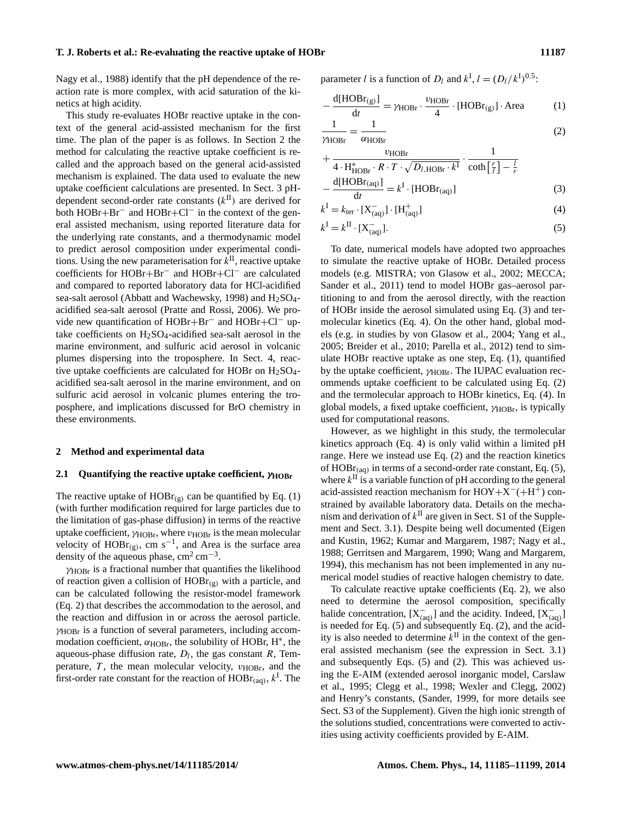Nagy et al., 1988) identify that the pH dependence of the reaction rate is more complex, with acid saturation of the kinetics at high acidity.

This study re-evaluates HOBr reactive uptake in the context of the general acid-assisted mechanism for the first time. The plan of the paper is as follows. In Section 2 the method for calculating the reactive uptake coefficient is recalled and the approach based on the general acid-assisted mechanism is explained. The data used to evaluate the new uptake coefficient calculations are presented. In Sect. 3 pHdependent second-order rate constants  $(k<sup>H</sup>)$  are derived for both HOBr+Br<sup>−</sup> and HOBr+Cl<sup>−</sup> in the context of the general assisted mechanism, using reported literature data for the underlying rate constants, and a thermodynamic model to predict aerosol composition under experimental conditions. Using the new parameterisation for  $k^{\text{II}}$ , reactive uptake coefficients for HOBr+Br<sup>−</sup> and HOBr+Cl<sup>−</sup> are calculated and compared to reported laboratory data for HCl-acidified sea-salt aerosol (Abbatt and Wachewsky, 1998) and  $H_2SO_4$ acidified sea-salt aerosol (Pratte and Rossi, 2006). We provide new quantification of HOBr+Br<sup>−</sup> and HOBr+Cl<sup>−</sup> uptake coefficients on  $H_2SO_4$ -acidified sea-salt aerosol in the marine environment, and sulfuric acid aerosol in volcanic plumes dispersing into the troposphere. In Sect. 4, reactive uptake coefficients are calculated for HOBr on  $H_2SO_4$ acidified sea-salt aerosol in the marine environment, and on sulfuric acid aerosol in volcanic plumes entering the troposphere, and implications discussed for BrO chemistry in these environments.

#### **2 Method and experimental data**

## **2.1 Quantifying the reactive uptake coefficient,** γ**HOBr**

The reactive uptake of  $HOBr_{(g)}$  can be quantified by Eq. (1) (with further modification required for large particles due to the limitation of gas-phase diffusion) in terms of the reactive uptake coefficient,  $\gamma_{HOBr}$ , where  $v_{HOBr}$  is the mean molecular velocity of  $HOBr_{(g)}$ , cm s<sup>-1</sup>, and Area is the surface area density of the aqueous phase,  $\text{cm}^2 \text{ cm}^{-3}$ .

 $\gamma$ <sub>HOBr</sub> is a fractional number that quantifies the likelihood of reaction given a collision of  $HOBr_{(g)}$  with a particle, and can be calculated following the resistor-model framework (Eq. 2) that describes the accommodation to the aerosol, and the reaction and diffusion in or across the aerosol particle.  $\gamma$ <sub>HOBr</sub> is a function of several parameters, including accommodation coefficient,  $\alpha_{\text{HOBr}}$ , the solubility of HOBr, H<sup>\*</sup>, the aqueous-phase diffusion rate,  $D_l$ , the gas constant R, Temperature,  $T$ , the mean molecular velocity,  $v_{HOBr}$ , and the first-order rate constant for the reaction of  $HOBr_{(aq)}$ ,  $k<sup>1</sup>$ . The

parameter *l* is a function of  $D_l$  and  $k^I$ ,  $l = (D_l/k^I)^{0.5}$ :

$$
-\frac{d[HOBr_{(g)}]}{dt} = \gamma_{HOBr} \cdot \frac{v_{HOBr}}{4} \cdot [HOBr_{(g)}] \cdot Area \tag{1}
$$

$$
\frac{1}{\gamma_{\text{HOBr}}} = \frac{1}{\alpha_{\text{HOBr}}} \tag{2}
$$

$$
+\frac{v_{\text{HOBr}}}{4 \cdot H_{\text{HOBr}}^* \cdot R \cdot T \cdot \sqrt{D_{l,\text{HOBr}} \cdot k^{\text{I}}}} \cdot \frac{1}{\coth\left[\frac{r}{l}\right] - \frac{l}{r}}
$$

$$
-\frac{d[\text{HOBr}_{\text{(aq)}}]}{dt} = k^{\text{I}} \cdot [\text{HOBr}_{\text{(aq)}}] \tag{3}
$$

$$
k^{\mathrm{I}} = k_{\mathrm{ter}} \cdot [X_{\mathrm{(aq)}}^-] \cdot [H_{\mathrm{(aq)}}^+] \tag{4}
$$

$$
k^{\mathrm{I}} = k^{\mathrm{II}} \cdot [X_{\mathrm{(aq)}}^-]. \tag{5}
$$

To date, numerical models have adopted two approaches to simulate the reactive uptake of HOBr. Detailed process models (e.g. MISTRA; von Glasow et al., 2002; MECCA; Sander et al., 2011) tend to model HOBr gas–aerosol partitioning to and from the aerosol directly, with the reaction of HOBr inside the aerosol simulated using Eq. (3) and termolecular kinetics (Eq. 4). On the other hand, global models (e.g. in studies by von Glasow et al., 2004; Yang et al., 2005; Breider et al., 2010; Parella et al., 2012) tend to simulate HOBr reactive uptake as one step, Eq. (1), quantified by the uptake coefficient,  $\gamma_{\text{HOBr}}$ . The IUPAC evaluation recommends uptake coefficient to be calculated using Eq. (2) and the termolecular approach to HOBr kinetics, Eq. (4). In global models, a fixed uptake coefficient,  $\gamma_{HOBr}$ , is typically used for computational reasons.

However, as we highlight in this study, the termolecular kinetics approach (Eq. 4) is only valid within a limited pH range. Here we instead use Eq. (2) and the reaction kinetics of  $HOBr_{(aq)}$  in terms of a second-order rate constant, Eq. (5), where  $k^{\text{II}}$  is a variable function of pH according to the general acid-assisted reaction mechanism for  $HOY + X^{-} (+H^+)$  constrained by available laboratory data. Details on the mechanism and derivation of  $k<sup>H</sup>$  are given in Sect. S1 of the Supplement and Sect. 3.1). Despite being well documented (Eigen and Kustin, 1962; Kumar and Margarem, 1987; Nagy et al., 1988; Gerritsen and Margarem, 1990; Wang and Margarem, 1994), this mechanism has not been implemented in any numerical model studies of reactive halogen chemistry to date.

To calculate reactive uptake coefficients (Eq. 2), we also need to determine the aerosol composition, specifically halide concentration,  $[X_{(aq)}^-]$  and the acidity. Indeed,  $[X_{(aq)}^-]$ is needed for Eq.  $(5)$  and subsequently Eq.  $(2)$ , and the acidity is also needed to determine  $k^{\text{II}}$  in the context of the general assisted mechanism (see the expression in Sect. 3.1) and subsequently Eqs. (5) and (2). This was achieved using the E-AIM (extended aerosol inorganic model, Carslaw et al., 1995; Clegg et al., 1998; Wexler and Clegg, 2002) and Henry's constants, (Sander, 1999, for more details see Sect. S3 of the Supplement). Given the high ionic strength of the solutions studied, concentrations were converted to activities using activity coefficients provided by E-AIM.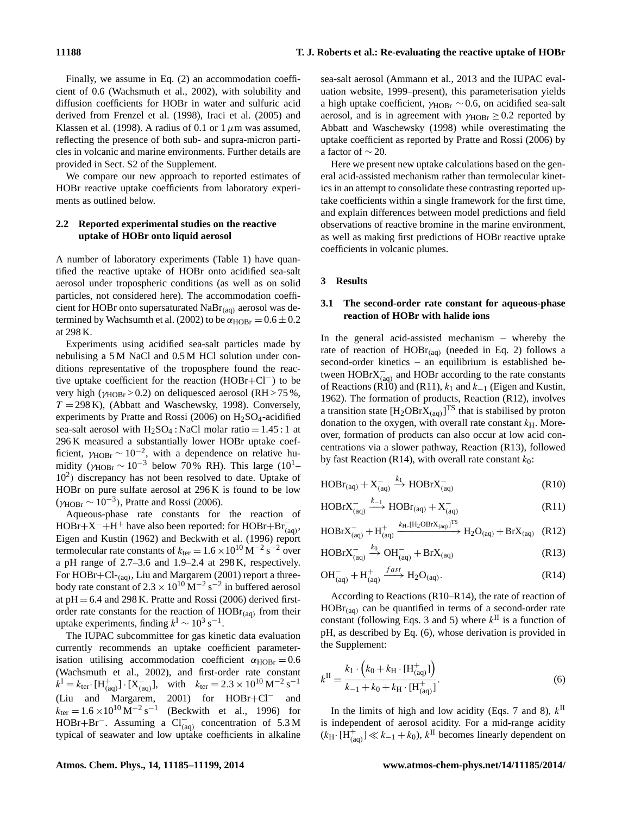Finally, we assume in Eq. (2) an accommodation coefficient of 0.6 (Wachsmuth et al., 2002), with solubility and diffusion coefficients for HOBr in water and sulfuric acid derived from Frenzel et al. (1998), Iraci et al. (2005) and Klassen et al. (1998). A radius of 0.1 or 1  $\mu$ m was assumed, reflecting the presence of both sub- and supra-micron particles in volcanic and marine environments. Further details are provided in Sect. S2 of the Supplement.

We compare our new approach to reported estimates of HOBr reactive uptake coefficients from laboratory experiments as outlined below.

#### **2.2 Reported experimental studies on the reactive uptake of HOBr onto liquid aerosol**

A number of laboratory experiments (Table 1) have quantified the reactive uptake of HOBr onto acidified sea-salt aerosol under tropospheric conditions (as well as on solid particles, not considered here). The accommodation coefficient for HOBr onto supersaturated  $NaBr(aq)$  aerosol was determined by Wachsumth et al. (2002) to be  $\alpha_{\text{HOBr}} = 0.6 \pm 0.2$ at 298 K.

Experiments using acidified sea-salt particles made by nebulising a 5 M NaCl and 0.5 M HCl solution under conditions representative of the troposphere found the reactive uptake coefficient for the reaction (HOBr+Cl−) to be very high ( $\gamma_{HOBr} > 0.2$ ) on deliquesced aerosol (RH  $> 75\%$ ,  $T = 298$  K), (Abbatt and Waschewsky, 1998). Conversely, experiments by Pratte and Rossi (2006) on  $H<sub>2</sub>SO<sub>4</sub>$ -acidified sea-salt aerosol with  $H_2SO_4$ : NaCl molar ratio = 1.45 : 1 at 296 K measured a substantially lower HOBr uptake coefficient,  $\gamma_{\text{HOBr}} \sim 10^{-2}$ , with a dependence on relative humidity ( $\gamma_{\text{HOBr}} \sim 10^{-3}$  below 70 % RH). This large (10<sup>1</sup>– 10<sup>2</sup> ) discrepancy has not been resolved to date. Uptake of HOBr on pure sulfate aerosol at 296 K is found to be low  $(\gamma_{\text{HOBr}} \sim 10^{-3})$ , Pratte and Rossi (2006).

Aqueous-phase rate constants for the reaction of  $HOBr + X^- + H^+$  have also been reported: for  $HOBr + Br^-_{(aq)}$ , Eigen and Kustin (1962) and Beckwith et al. (1996) report termolecular rate constants of  $k_{\text{ter}} = 1.6 \times 10^{10} \text{ M}^{-2} \text{ s}^{-2}$  over a pH range of 2.7–3.6 and 1.9–2.4 at 298 K, respectively. For HOBr+Cl-(aq), Liu and Margarem (2001) report a threebody rate constant of  $2.3 \times 10^{10}$  M<sup>-2</sup> s<sup>-2</sup> in buffered aerosol at  $pH = 6.4$  and 298 K. Pratte and Rossi (2006) derived firstorder rate constants for the reaction of  $HOBr_{(aq)}$  from their uptake experiments, finding  $k^{\text{I}} \sim 10^3 \text{ s}^{-1}$ .

The IUPAC subcommittee for gas kinetic data evaluation currently recommends an uptake coefficient parameterisation utilising accommodation coefficient  $\alpha_{\text{HOBr}} = 0.6$ (Wachsmuth et al., 2002), and first-order rate constant  $k^{\text{I}} = k_{\text{ter}} \cdot [\text{H}^+_{\text{(aq)}}] \cdot [\text{X}^-_{\text{(aq)}}], \text{ with } k_{\text{ter}} = 2.3 \times 10^{10} \,\text{M}^{-2} \,\text{s}^{-1}$ (Liu and Margarem, 2001) for HOBr+Cl<sup>−</sup> and  $k_{\text{ter}} = 1.6 \times 10^{10} \,\text{M}^{-2} \,\text{s}^{-1}$  (Beckwith et al., 1996) for HOBr+Br<sup>−</sup>. Assuming a  $Cl_{(aq)}^-$  concentration of 5.3 M typical of seawater and low uptake coefficients in alkaline

sea-salt aerosol (Ammann et al., 2013 and the IUPAC evaluation website, 1999–present), this parameterisation yields a high uptake coefficient,  $\gamma_{\text{HOBr}} \sim 0.6$ , on acidified sea-salt aerosol, and is in agreement with  $\gamma_{\text{HOBr}} \geq 0.2$  reported by Abbatt and Waschewsky (1998) while overestimating the uptake coefficient as reported by Pratte and Rossi (2006) by a factor of  $\sim$  20.

Here we present new uptake calculations based on the general acid-assisted mechanism rather than termolecular kinetics in an attempt to consolidate these contrasting reported uptake coefficients within a single framework for the first time, and explain differences between model predictions and field observations of reactive bromine in the marine environment, as well as making first predictions of HOBr reactive uptake coefficients in volcanic plumes.

#### **3 Results**

### **3.1 The second-order rate constant for aqueous-phase reaction of HOBr with halide ions**

In the general acid-assisted mechanism – whereby the rate of reaction of  $HOBr_{(aq)}$  (needed in Eq. 2) follows a second-order kinetics – an equilibrium is established between  $HOBrX^-_{(aq)}$  and  $HOBr$  according to the rate constants of Reactions (R10) and (R11),  $k_1$  and  $k_{-1}$  (Eigen and Kustin, 1962). The formation of products, Reaction (R12), involves a transition state  $[H_2OBrX_{(aq)}]^{TS}$  that is stabilised by proton donation to the oxygen, with overall rate constant  $k<sub>H</sub>$ . Moreover, formation of products can also occur at low acid concentrations via a slower pathway, Reaction (R13), followed by fast Reaction (R14), with overall rate constant  $k_0$ :

$$
HOBr_{(aq)} + X_{(aq)}^- \xrightarrow{k_1} HOBrX_{(aq)}^-
$$
 (R10)

$$
HOBrX_{(aq)}^{-} \xrightarrow{k_{-1}} HOBr_{(aq)} + X_{(aq)}^{-}
$$
 (R11)

$$
HOBrX_{(aq)}^- + H^+_{(aq)} \xrightarrow{k_H, [H_2OBrX_{(aq)}]^{\text{TS}}} H_2O_{(aq)} + BrX_{(aq)} \quad (R12)
$$

$$
HOBrX_{(aq)}^- \xrightarrow{k_0} OH_{(aq)}^- + BrX_{(aq)}
$$
 (R13)

$$
\mathrm{OH}^{-}_{\mathrm{(aq)}} + \mathrm{H}^{+}_{\mathrm{(aq)}} \xrightarrow{fast} \mathrm{H}_2\mathrm{O}_{\mathrm{(aq)}}.
$$
 (R14)

According to Reactions (R10–R14), the rate of reaction of  $HOBr_{(aa)}$  can be quantified in terms of a second-order rate constant (following Eqs. 3 and 5) where  $k^{\text{II}}$  is a function of pH, as described by Eq. (6), whose derivation is provided in the Supplement:

$$
k^{\text{II}} = \frac{k_1 \cdot \left(k_0 + k_{\text{H}} \cdot \text{[H}_{\text{(aq)}}^+\text{]}\right)}{k_{-1} + k_0 + k_{\text{H}} \cdot \text{[H}_{\text{(aq)}}^+\text{]}}.
$$
(6)

In the limits of high and low acidity (Eqs. 7 and 8),  $k$ <sup>II</sup> is independent of aerosol acidity. For a mid-range acidity  $(k_H \cdot \overline{[H_{(aq)}^+]} \ll k_{-1} + k_0), k^{\text{II}}$  becomes linearly dependent on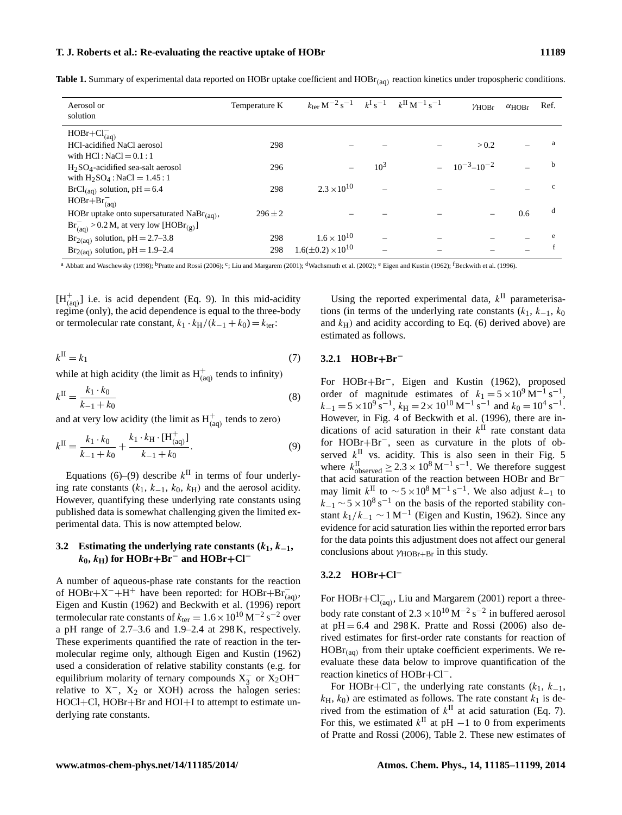**Table 1.** Summary of experimental data reported on HOBr uptake coefficient and HOBr<sub>(aq)</sub> reaction kinetics under tropospheric conditions.

| Aerosol or<br>solution                                                                                        | Temperature K | $k_{\text{ter}} M^{-2} s^{-1}$ $k^{I} s^{-1}$ $k^{II} M^{-1} s^{-1}$ |        | $\gamma$ HOBr       | $\alpha$ HOBr | Ref.         |
|---------------------------------------------------------------------------------------------------------------|---------------|----------------------------------------------------------------------|--------|---------------------|---------------|--------------|
| $HOBr + Cl_{(aq)}^-$<br>HCl-acidified NaCl aerosol<br>with $HC1: NaCl = 0.1:1$                                | 298           |                                                                      |        | > 0.2               |               | a            |
| $H2SO4$ -acidified sea-salt aerosol<br>with $H_2SO_4$ : NaCl = 1.45:1                                         | 296           |                                                                      | $10^3$ | $10^{-3} - 10^{-2}$ |               | h            |
| $BrCl_{(aq)}$ solution, pH = 6.4<br>$HOBr + Br_{(aq)}^-$                                                      | 298           | $2.3 \times 10^{10}$                                                 |        |                     |               | $\mathbf{c}$ |
| HOBr uptake onto supersaturated $NaBr_{(aq)}$ ,<br>$Br_{(aq)}^- > 0.2 M$ , at very low [HOBr <sub>(g)</sub> ] | $296 \pm 2$   |                                                                      |        |                     | 0.6           | d            |
| $Br_{2(aq)}$ solution, pH = 2.7–3.8<br>$Br_{2(aq)}$ solution, pH = 1.9–2.4                                    | 298<br>298    | $1.6 \times 10^{10}$<br>$1.6(\pm 0.2) \times 10^{10}$                |        |                     |               | e            |

 $^{\rm a}$  Abbatt and Waschewsky (1998);  $^{\rm b}$ Pratte and Rossi (2006);  $^{\rm c}$ ; Liu and Margarem (2001);  $^{\rm d}$ Wachsmuth et al. (2002);  $^{\rm e}$  Eigen and Kustin (1962);  $^{\rm f}$ Beckwith et al. (1996).

 $[H_{(aq)}^+]$  i.e. is acid dependent (Eq. 9). In this mid-acidity regime (only), the acid dependence is equal to the three-body or termolecular rate constant,  $k_1 \cdot k_H/(k_{-1} + k_0) = k_{\text{ter}}$ :

$$
k^{\mathrm{II}} = k_1 \tag{7}
$$

while at high acidity (the limit as  $H^+_{(aq)}$  tends to infinity)

$$
k^{\text{II}} = \frac{k_1 \cdot k_0}{k_{-1} + k_0} \tag{8}
$$

and at very low acidity (the limit as  $H^+_{(aq)}$  tends to zero)

$$
k^{\text{II}} = \frac{k_1 \cdot k_0}{k_{-1} + k_0} + \frac{k_1 \cdot k_{\text{H}} \cdot [H_{(aq)}^+]}{k_{-1} + k_0}.
$$
 (9)

Equations (6)–(9) describe  $k^{\text{II}}$  in terms of four underlying rate constants  $(k_1, k_{-1}, k_0, k_H)$  and the aerosol acidity. However, quantifying these underlying rate constants using published data is somewhat challenging given the limited experimental data. This is now attempted below.

## **3.2** Estimating the underlying rate constants  $(k_1, k_{-1},$  $k_0$ ,  $k_H$ ) for HOBr+Br<sup>−</sup> and HOBr+Cl<sup>−</sup>

A number of aqueous-phase rate constants for the reaction of HOBr+X<sup>-</sup>+H<sup>+</sup> have been reported: for HOBr+Br<sub>(aq)</sub>, Eigen and Kustin (1962) and Beckwith et al. (1996) report termolecular rate constants of  $k_{\text{ter}} = 1.6 \times 10^{10} \text{ M}^{-2} \text{ s}^{-2}$  over a pH range of 2.7–3.6 and 1.9–2.4 at 298 K, respectively. These experiments quantified the rate of reaction in the termolecular regime only, although Eigen and Kustin (1962) used a consideration of relative stability constants (e.g. for equilibrium molarity of ternary compounds  $X_3^-$  or  $X_2OH^$ relative to  $X^-$ ,  $X_2$  or XOH) across the halogen series: HOCl+Cl, HOBr+Br and HOI+I to attempt to estimate underlying rate constants.

Using the reported experimental data,  $k$ <sup>II</sup> parameterisations (in terms of the underlying rate constants  $(k_1, k_{-1}, k_0)$ and  $k_H$ ) and acidity according to Eq. (6) derived above) are estimated as follows.

### **3.2.1 HOBr**+**Br**<sup>−</sup>

For HOBr+Br−, Eigen and Kustin (1962), proposed order of magnitude estimates of  $k_1 = 5 \times 10^9 \text{ M}^{-1} \text{ s}^{-1}$ ,  $k_{-1} = 5 \times 10^9 \text{ s}^{-1}$ ,  $k_{\text{H}} = 2 \times 10^{10} \text{ M}^{-1} \text{ s}^{-1}$  and  $k_0 = 10^4 \text{ s}^{-1}$ . However, in Fig. 4 of Beckwith et al. (1996), there are indications of acid saturation in their  $k^{\text{II}}$  rate constant data for HOBr+Br−, seen as curvature in the plots of observed  $k$ <sup>II</sup> vs. acidity. This is also seen in their Fig. 5 where  $k_{\text{observed}}^{\text{II}} \geq 2.3 \times 10^8 \text{ M}^{-1} \text{ s}^{-1}$ . We therefore suggest that acid saturation of the reaction between HOBr and Br<sup>−</sup> may limit  $k^{\text{II}}$  to  $\sim 5 \times 10^8 \,\text{M}^{-1} \,\text{s}^{-1}$ . We also adjust  $k_{-1}$  to  $k_{-1}$  ~ 5 × 10<sup>8</sup> s<sup>-1</sup> on the basis of the reported stability constant  $k_1/k_{-1} \sim 1 \text{ M}^{-1}$  (Eigen and Kustin, 1962). Since any evidence for acid saturation lies within the reported error bars for the data points this adjustment does not affect our general conclusions about  $\gamma_{HOBr+Br}$  in this study.

#### **3.2.2 HOBr**+**Cl**<sup>−</sup>

For HOBr+Cl<sub>(aq)</sub>, Liu and Margarem (2001) report a threebody rate constant of  $2.3 \times 10^{10}$  M<sup>-2</sup> s<sup>-2</sup> in buffered aerosol at  $pH = 6.4$  and 298 K. Pratte and Rossi (2006) also derived estimates for first-order rate constants for reaction of  $HOBr_{(aa)}$  from their uptake coefficient experiments. We reevaluate these data below to improve quantification of the reaction kinetics of HOBr+Cl−.

For HOBr+Cl<sup>-</sup>, the underlying rate constants  $(k_1, k_{-1},$  $k_H$ ,  $k_0$ ) are estimated as follows. The rate constant  $k_1$  is derived from the estimation of  $k^{\text{II}}$  at acid saturation (Eq. 7). For this, we estimated  $k^{\text{II}}$  at pH  $-1$  to 0 from experiments of Pratte and Rossi (2006), Table 2. These new estimates of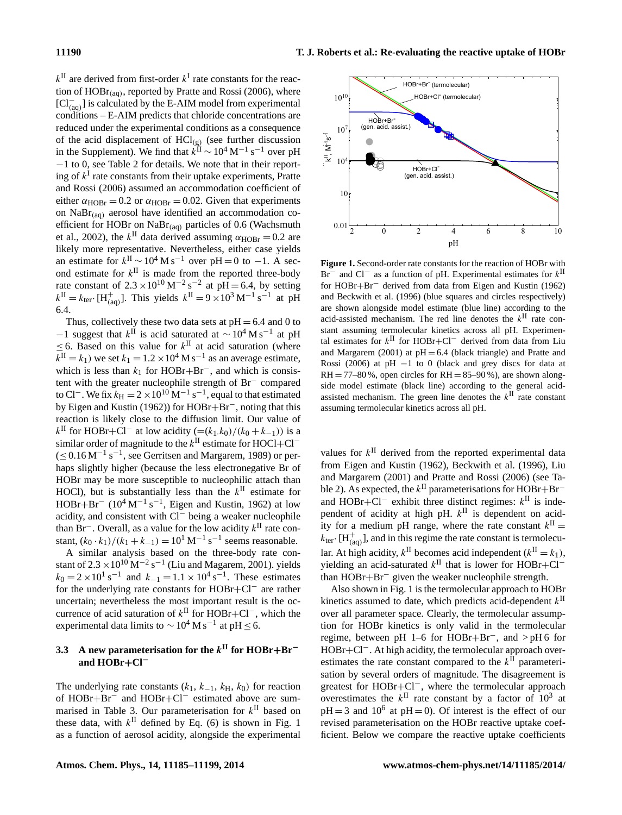$k^{\text{II}}$  are derived from first-order  $k^{\text{I}}$  rate constants for the reaction of  $HOBr_{(aq)}$ , reported by Pratte and Rossi (2006), where [Cl<sup>−</sup> (aq) ] is calculated by the E-AIM model from experimental conditions – E-AIM predicts that chloride concentrations are reduced under the experimental conditions as a consequence of the acid displacement of  $\text{HCl}_{\text{(g)}}$  (see further discussion in the Supplement). We find that  $k^{\text{II}} \sim 10^4 \text{ M}^{-1} \text{ s}^{-1}$  over pH −1 to 0, see Table 2 for details. We note that in their reporting of  $k<sup>I</sup>$  rate constants from their uptake experiments, Pratte and Rossi (2006) assumed an accommodation coefficient of either  $\alpha_{\text{HOBr}} = 0.2$  or  $\alpha_{\text{HOBr}} = 0.02$ . Given that experiments on  $NaBr(aq)$  aerosol have identified an accommodation coefficient for HOBr on NaBr(aq) particles of 0.6 (Wachsmuth et al., 2002), the  $k^{\text{II}}$  data derived assuming  $\alpha_{\text{HOBr}} = 0.2$  are likely more representative. Nevertheless, either case yields an estimate for  $k^{\text{II}} \sim 10^4 \text{ M s}^{-1}$  over pH = 0 to -1. A second estimate for  $k^{\text{II}}$  is made from the reported three-body rate constant of  $2.3 \times 10^{10} \text{ M}^{-2} \text{ s}^{-2}$  at pH = 6.4, by setting  $k^{\text{II}} = k_{\text{ter}} \cdot [H_{\text{(aq)}}^+]$ . This yields  $k^{\text{II}} = 9 \times 10^3 \text{ M}^{-1} \text{ s}^{-1}$  at pH 6.4.

Thus, collectively these two data sets at  $pH = 6.4$  and 0 to −1 suggest that  $k$ <sup>II</sup> is acid saturated at  $\sim$  10<sup>4</sup> M s<sup>−1</sup> at pH  $\leq$  6. Based on this value for  $k$ <sup>II</sup> at acid saturation (where  $k^{\text{II}} = k_1$ ) we set  $k_1 = 1.2 \times 10^4 \text{ M s}^{-1}$  as an average estimate, which is less than  $k_1$  for HOBr+Br<sup>-</sup>, and which is consistent with the greater nucleophile strength of Br<sup>−</sup> compared to Cl<sup>-</sup>. We fix  $k_{\text{H}} = 2 \times 10^{10} \text{ M}^{-1} \text{ s}^{-1}$ , equal to that estimated by Eigen and Kustin (1962)) for HOBr+Br−, noting that this reaction is likely close to the diffusion limit. Our value of  $k$ <sup>II</sup> for HOBr+Cl<sup>−</sup> at low acidity (=(k<sub>1</sub>.k<sub>0</sub>)/(k<sub>0</sub> + k<sub>−1</sub>)) is a similar order of magnitude to the  $k^{\text{II}}$  estimate for HOCl+Cl<sup>-</sup>  $(\leq 0.16 \,\mathrm{M}^{-1}\,\mathrm{s}^{-1})$ , see Gerritsen and Margarem, 1989) or perhaps slightly higher (because the less electronegative Br of HOBr may be more susceptible to nucleophilic attach than HOCl), but is substantially less than the  $k^{\text{II}}$  estimate for  $HOBr + Br^-$  (10<sup>4</sup> M<sup>-1</sup> s<sup>-1</sup>, Eigen and Kustin, 1962) at low acidity, and consistent with Cl<sup>−</sup> being a weaker nucleophile than  $\text{Br}^-$ . Overall, as a value for the low acidity  $k^{\text{II}}$  rate constant,  $(k_0 \cdot k_1)/(k_1 + k_{-1}) = 10^1 \text{ M}^{-1} \text{ s}^{-1}$  seems reasonable.

A similar analysis based on the three-body rate constant of  $2.3 \times 10^{10}$  M<sup>-2</sup> s<sup>-1</sup> (Liu and Magarem, 2001). yields  $k_0 = 2 \times 10^1 \text{ s}^{-1}$  and  $k_{-1} = 1.1 \times 10^4 \text{ s}^{-1}$ . These estimates for the underlying rate constants for HOBr+Cl<sup>−</sup> are rather uncertain; nevertheless the most important result is the occurrence of acid saturation of  $k^{\text{II}}$  for HOBr+Cl<sup>−</sup>, which the experimental data limits to  $\sim 10^4$  M s<sup>-1</sup> at pH ≤ 6.

## **3.3 A new parameterisation for the** k **II for HOBr**+**Br**<sup>−</sup> **and HOBr**+**Cl**<sup>−</sup>

The underlying rate constants  $(k_1, k_{-1}, k_H, k_0)$  for reaction of HOBr+Br<sup>−</sup> and HOBr+Cl<sup>−</sup> estimated above are summarised in Table 3. Our parameterisation for  $k^{\text{II}}$  based on these data, with  $k$ <sup>II</sup> defined by Eq. (6) is shown in Fig. 1 as a function of aerosol acidity, alongside the experimental



**Figure 1.** Second-order rate constants for the reaction of HOBr with Br<sup>−</sup> and Cl<sup>−</sup> as a function of pH. Experimental estimates for  $k$ <sup>II</sup> for HOBr+Br<sup>−</sup> derived from data from Eigen and Kustin (1962) and Beckwith et al. (1996) (blue squares and circles respectively) are shown alongside model estimate (blue line) according to the acid-assisted mechanism. The red line denotes the  $k^{\text{II}}$  rate constant assuming termolecular kinetics across all pH. Experimental estimates for  $k$ <sup>II</sup> for HOBr+Cl<sup>−</sup> derived from data from Liu and Margarem  $(2001)$  at  $pH = 6.4$  (black triangle) and Pratte and Rossi (2006) at pH −1 to 0 (black and grey discs for data at  $RH = 77-80$ %, open circles for  $RH = 85-90$ %), are shown alongside model estimate (black line) according to the general acidassisted mechanism. The green line denotes the  $k^{\text{II}}$  rate constant assuming termolecular kinetics across all pH.

values for  $k$ <sup>II</sup> derived from the reported experimental data from Eigen and Kustin (1962), Beckwith et al. (1996), Liu and Margarem (2001) and Pratte and Rossi (2006) (see Table 2). As expected, the  $k^{\text{II}}$  parameterisations for HOBr+Br<sup>-</sup> and HOBr+Cl<sup>-</sup> exhibit three distinct regimes:  $k^{\text{II}}$  is independent of acidity at high pH.  $k$ <sup>II</sup> is dependent on acidity for a medium pH range, where the rate constant  $k^{\text{II}} =$  $k_{\text{ter}}$ . [H<sub>(aq)</sub>], and in this regime the rate constant is termolecular. At high acidity,  $k^{\text{II}}$  becomes acid independent  $(k^{\text{II}} = k_1)$ , yielding an acid-saturated  $k$ <sup>II</sup> that is lower for HOBr+Cl<sup>-</sup> than HOBr+Br<sup>−</sup> given the weaker nucleophile strength.

Also shown in Fig. 1 is the termolecular approach to HOBr kinetics assumed to date, which predicts acid-dependent  $k$ <sup>II</sup> over all parameter space. Clearly, the termolecular assumption for HOBr kinetics is only valid in the termolecular regime, between pH 1–6 for HOBr+Br−, and > pH 6 for HOBr+Cl<sup>−</sup>. At high acidity, the termolecular approach overestimates the rate constant compared to the  $k$ <sup>II</sup> parameterisation by several orders of magnitude. The disagreement is greatest for HOBr+Cl−, where the termolecular approach overestimates the  $k^{\text{II}}$  rate constant by a factor of  $10^3$  at  $pH = 3$  and  $10^6$  at  $pH = 0$ ). Of interest is the effect of our revised parameterisation on the HOBr reactive uptake coefficient. Below we compare the reactive uptake coefficients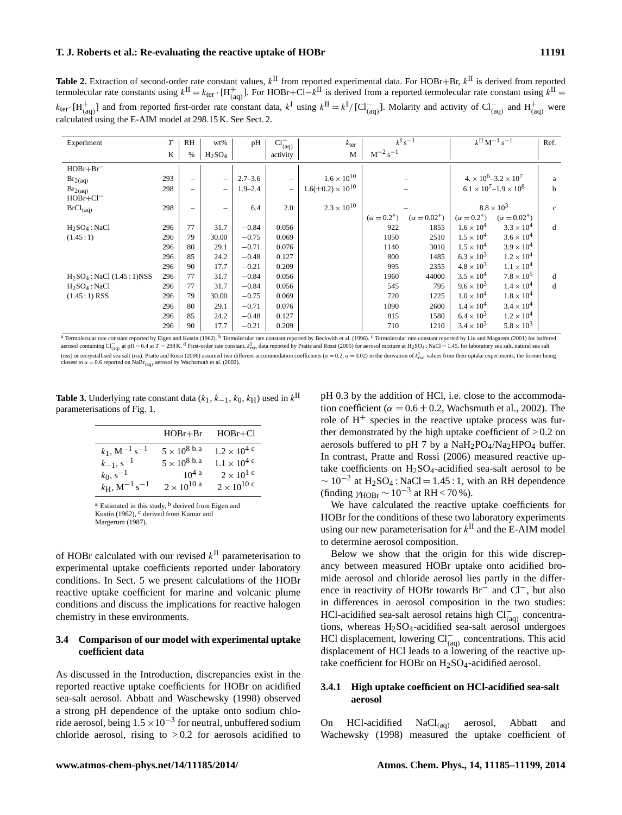**Table 2.** Extraction of second-order rate constant values,  $k^{\text{II}}$  from reported experimental data. For HOBr+Br,  $k^{\text{II}}$  is derived from reported termolecular rate constants using  $k^{\text{II}} = k_{\text{ter}} \cdot [H_{\text{(aq)}}^+]$ . For HOBr+Cl− $k^{\text{II}}$  is derived from a reported termolecular rate constant using  $k^{\text{II}} =$  $k_{\text{ter}}$  [H<sup>+</sup><sub>(aq)</sub>] and from reported first-order rate constant data,  $k^{\text{I}}$  using  $k^{\text{II}} = k^{\text{I}} / [Cl^-_{(aq)}]$ . Molarity and activity of  $Cl^-_{(aq)}$  and  $H^+_{(aq)}$  were calculated using the E-AIM model at 298.15 K. See Sect. 2.

| Experiment                      | $\cal T$ | RH                       | wt%                            | pH          | $Cl_{(aq)}^-$     | $k_{\text{ter}}$              |                    | $k^{\mathrm{I}}\,\mathrm{s}^{-1}$ |                     | $k^{\rm II}$ M <sup>-1</sup> s <sup>-1</sup> | Ref.         |
|---------------------------------|----------|--------------------------|--------------------------------|-------------|-------------------|-------------------------------|--------------------|-----------------------------------|---------------------|----------------------------------------------|--------------|
|                                 | K        | $\%$                     | H <sub>2</sub> SO <sub>4</sub> |             | activity          | $\mathbf M$                   | $M^{-2} s^{-1}$    |                                   |                     |                                              |              |
| $HOBr + Br^-$                   |          |                          |                                |             |                   |                               |                    |                                   |                     |                                              |              |
| $Br_{2(aq)}$                    | 293      | $\overline{\phantom{0}}$ | $\overline{\phantom{m}}$       | $2.7 - 3.6$ | $\qquad \qquad -$ | $1.6 \times 10^{10}$          |                    |                                   |                     | $4 \times 10^6 - 3.2 \times 10^7$            | a            |
| $Br_{2(aq)}$                    | 298      | $\overline{\phantom{0}}$ | $\overline{\phantom{m}}$       | $1.9 - 2.4$ | $\qquad \qquad -$ | $1.6(\pm 0.2) \times 10^{10}$ |                    |                                   |                     | $6.1 \times 10^7 - 1.9 \times 10^8$          | b            |
| $HOBr + Cl^-$                   |          |                          |                                |             |                   |                               |                    |                                   |                     |                                              |              |
| BrCl <sub>(aq)</sub>            | 298      | $\overline{\phantom{m}}$ | -                              | 6.4         | 2.0               | $2.3 \times 10^{10}$          |                    |                                   |                     | $8.8 \times 10^{3}$                          | $\mathbf{c}$ |
|                                 |          |                          |                                |             |                   |                               | $(\alpha = 0.2^*)$ | $(\alpha = 0.02^*)$               | $(\alpha = 0.2^*)$  | $(\alpha = 0.02^*)$                          |              |
| $H_2SO_4$ : NaCl                | 296      | 77                       | 31.7                           | $-0.84$     | 0.056             |                               | 922                | 1855                              | $1.6 \times 10^{4}$ | $3.3 \times 10^{4}$                          | d            |
| (1.45:1)                        | 296      | 79                       | 30.00                          | $-0.75$     | 0.069             |                               | 1050               | 2510                              | $1.5 \times 10^{4}$ | $3.6 \times 10^{4}$                          |              |
|                                 | 296      | 80                       | 29.1                           | $-0.71$     | 0.076             |                               | 1140               | 3010                              | $1.5 \times 10^{4}$ | $3.9 \times 10^{4}$                          |              |
|                                 | 296      | 85                       | 24.2                           | $-0.48$     | 0.127             |                               | 800                | 1485                              | $6.3 \times 10^{3}$ | $1.2 \times 10^{4}$                          |              |
|                                 | 296      | 90                       | 17.7                           | $-0.21$     | 0.209             |                               | 995                | 2355                              | $4.8 \times 10^{3}$ | $1.1 \times 10^{4}$                          |              |
| $H_2SO_4$ : NaCl $(1.45:1)$ NSS | 296      | 77                       | 31.7                           | $-0.84$     | 0.056             |                               | 1960               | 44000                             | $3.5 \times 10^{4}$ | $7.8 \times 10^{5}$                          | d            |
| $H2SO4$ : NaCl                  | 296      | 77                       | 31.7                           | $-0.84$     | 0.056             |                               | 545                | 795                               | $9.6 \times 10^{3}$ | $1.4 \times 10^{4}$                          | d            |
| $(1.45:1)$ RSS                  | 296      | 79                       | 30.00                          | $-0.75$     | 0.069             |                               | 720                | 1225                              | $1.0 \times 10^{4}$ | $1.8 \times 10^{4}$                          |              |
|                                 | 296      | 80                       | 29.1                           | $-0.71$     | 0.076             |                               | 1090               | 2600                              | $1.4 \times 10^{4}$ | $3.4 \times 10^{4}$                          |              |
|                                 | 296      | 85                       | 24.2                           | $-0.48$     | 0.127             |                               | 815                | 1580                              | $6.4 \times 10^{3}$ | $1.2 \times 10^{4}$                          |              |
|                                 | 296      | 90                       | 17.7                           | $-0.21$     | 0.209             |                               | 710                | 1210                              | $3.4 \times 10^{3}$ | $5.8 \times 10^{3}$                          |              |

<sup>a</sup> Termolecular rate constant reported by Eigen and Kustin (1962). <sup>b</sup> Termolecular rate constant reported by Beckwith et al. (1996). <sup>c</sup> Termolecular rate constant reported by Liu and Magarem (2001) for buffered aerosol containing Cl<sub>Gqq</sub> at pH = 6.4 at T = 298 K. d First-order rate constant, k<sub>1xn</sub> data reported by Pratte and Rossi (2005) for aerosol mixture at H<sub>2</sub>SO<sub>4</sub> : NaCl = 1.45, for laboratory sea salt, natural sea salt (nss) or recrystallised sea salt (rss). Pratte and Rossi (2006) assumed two different accommodation coefficients ( $\alpha = 0.2$ ,  $\alpha = 0.02$ ) in the derivation of  $k_{\text{rxn}}^1$  values from their uptake experiments, the former b

**Table 3.** Underlying rate constant data  $(k_1, k_{-1}, k_0, k_H)$  used in  $k^{\text{II}}$ parameterisations of Fig. 1.

|                                               | $HOBr + Br$            | $HOBr + Cl$           |
|-----------------------------------------------|------------------------|-----------------------|
| $k_1$ , M <sup>-1</sup> s <sup>-1</sup>       | $5 \times 10^{8}$ b, a | $1.2 \times 10^{4}$ c |
| $k_{-1}, s^{-1}$                              | $5 \times 10^{8}$ b, a | $1.1 \times 10^{4}$ c |
| $k_0$ , s <sup>-1</sup>                       | $10^{4}$ a             | $2 \times 10^{1}$ c   |
| $k_{\rm H}$ , M <sup>-1</sup> s <sup>-1</sup> | $2\times10^{10}$ a     | $2 \times 10^{10}$ c  |

 $a$  Estimated in this study,  $b$  derived from Eigen and Kustin (1962), <sup>c</sup> derived from Kumar and Margerum (1987).

of HOBr calculated with our revised  $k<sup>H</sup>$  parameterisation to experimental uptake coefficients reported under laboratory conditions. In Sect. 5 we present calculations of the HOBr reactive uptake coefficient for marine and volcanic plume conditions and discuss the implications for reactive halogen chemistry in these environments.

#### **3.4 Comparison of our model with experimental uptake coefficient data**

As discussed in the Introduction, discrepancies exist in the reported reactive uptake coefficients for HOBr on acidified sea-salt aerosol. Abbatt and Waschewsky (1998) observed a strong pH dependence of the uptake onto sodium chloride aerosol, being  $1.5 \times 10^{-3}$  for neutral, unbuffered sodium chloride aerosol, rising to  $> 0.2$  for aerosols acidified to pH 0.3 by the addition of HCl, i.e. close to the accommodation coefficient ( $\alpha = 0.6 \pm 0.2$ , Wachsmuth et al., 2002). The role of  $H^+$  species in the reactive uptake process was further demonstrated by the high uptake coefficient of  $> 0.2$  on aerosols buffered to pH 7 by a  $NaH_2PO_4/Na_2HPO_4$  buffer. In contrast, Pratte and Rossi (2006) measured reactive uptake coefficients on  $H_2SO_4$ -acidified sea-salt aerosol to be  $\sim 10^{-2}$  at H<sub>2</sub>SO<sub>4</sub>: NaCl = 1.45 : 1, with an RH dependence (finding  $\gamma_{\text{HOBr}} \sim 10^{-3}$  at RH < 70 %).

We have calculated the reactive uptake coefficients for HOBr for the conditions of these two laboratory experiments using our new parameterisation for  $k^{\text{II}}$  and the E-AIM model to determine aerosol composition.

Below we show that the origin for this wide discrepancy between measured HOBr uptake onto acidified bromide aerosol and chloride aerosol lies partly in the difference in reactivity of HOBr towards Br<sup>−</sup> and Cl−, but also in differences in aerosol composition in the two studies: HCl-acidified sea-salt aerosol retains high Cl<sub>(aq)</sub> concentrations, whereas H2SO4-acidified sea-salt aerosol undergoes HCl displacement, lowering Cl<sub>(aq)</sub> concentrations. This acid displacement of HCl leads to a lowering of the reactive uptake coefficient for HOBr on  $H_2SO_4$ -acidified aerosol.

## **3.4.1 High uptake coefficient on HCl-acidified sea-salt aerosol**

On HCl-acidified  $NaCl<sub>(aq)</sub>$  aerosol, Abbatt and Wachewsky (1998) measured the uptake coefficient of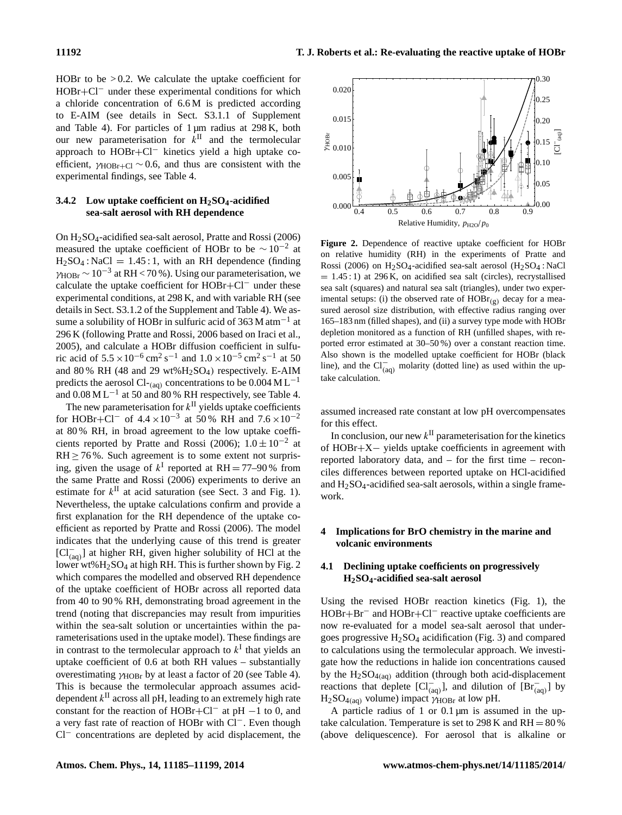HOBr to be  $> 0.2$ . We calculate the uptake coefficient for HOBr+Cl<sup>−</sup> under these experimental conditions for which a chloride concentration of 6.6 M is predicted according to E-AIM (see details in Sect. S3.1.1 of Supplement and Table 4). For particles of 1 µm radius at 298 K, both our new parameterisation for  $k^{\text{II}}$  and the termolecular approach to HOBr+Cl<sup>−</sup> kinetics yield a high uptake coefficient,  $\gamma_{HOBr+C}$  ∼ 0.6, and thus are consistent with the experimental findings, see Table 4.

### **3.4.2 Low uptake coefficient on H2SO4-acidified sea-salt aerosol with RH dependence**

On H2SO4-acidified sea-salt aerosol, Pratte and Rossi (2006) measured the uptake coefficient of HOBr to be  $\sim 10^{-2}$  at  $H_2SO_4$ : NaCl = 1.45:1, with an RH dependence (finding  $\gamma_{\rm HOBr}$  ~ 10<sup>-3</sup> at RH < 70 %). Using our parameterisation, we calculate the uptake coefficient for HOBr+Cl<sup>−</sup> under these experimental conditions, at 298 K, and with variable RH (see details in Sect. S3.1.2 of the Supplement and Table 4). We assume a solubility of HOBr in sulfuric acid of 363 M atm<sup>-1</sup> at 296 K (following Pratte and Rossi, 2006 based on Iraci et al., 2005), and calculate a HOBr diffusion coefficient in sulfuric acid of  $5.5 \times 10^{-6}$  cm<sup>2</sup> s<sup>-1</sup> and  $1.0 \times 10^{-5}$  cm<sup>2</sup> s<sup>-1</sup> at 50 and 80 % RH (48 and 29 wt% $H_2SO_4$ ) respectively. E-AIM predicts the aerosol Cl-<sub>(aq)</sub> concentrations to be  $0.004 \text{ M L}^{-1}$ and  $0.08 \text{ M L}^{-1}$  at 50 and 80 % RH respectively, see Table 4.

The new parameterisation for  $k<sup>H</sup>$  yields uptake coefficients for HOBr+Cl<sup>-</sup> of  $4.4 \times 10^{-3}$  at 50% RH and  $7.6 \times 10^{-2}$ at 80 % RH, in broad agreement to the low uptake coefficients reported by Pratte and Rossi (2006);  $1.0 \pm 10^{-2}$  at  $RH \ge 76\%$ . Such agreement is to some extent not surprising, given the usage of  $k^I$  reported at RH = 77–90% from the same Pratte and Rossi (2006) experiments to derive an estimate for  $k^{\text{II}}$  at acid saturation (see Sect. 3 and Fig. 1). Nevertheless, the uptake calculations confirm and provide a first explanation for the RH dependence of the uptake coefficient as reported by Pratte and Rossi (2006). The model indicates that the underlying cause of this trend is greater [Cl<sup>−</sup> (aq) ] at higher RH, given higher solubility of HCl at the lower wt%H<sub>2</sub>SO<sub>4</sub> at high RH. This is further shown by Fig. 2 which compares the modelled and observed RH dependence of the uptake coefficient of HOBr across all reported data from 40 to 90 % RH, demonstrating broad agreement in the trend (noting that discrepancies may result from impurities within the sea-salt solution or uncertainties within the parameterisations used in the uptake model). These findings are in contrast to the termolecular approach to  $k<sup>I</sup>$  that yields an uptake coefficient of 0.6 at both RH values – substantially overestimating  $\gamma_{HOBr}$  by at least a factor of 20 (see Table 4). This is because the termolecular approach assumes aciddependent  $k^{\text{II}}$  across all pH, leading to an extremely high rate constant for the reaction of HOBr+Cl<sup>-</sup> at pH  $-1$  to 0, and a very fast rate of reaction of HOBr with Cl−. Even though Cl<sup>−</sup> concentrations are depleted by acid displacement, the



**Figure 2.** Dependence of reactive uptake coefficient for HOBr on relative humidity (RH) in the experiments of Pratte and Rossi (2006) on  $H_2SO_4$ -acidified sea-salt aerosol ( $H_2SO_4$ : NaCl  $= 1.45:1$ ) at 296 K, on acidified sea salt (circles), recrystallised sea salt (squares) and natural sea salt (triangles), under two experimental setups: (i) the observed rate of  $HOBr_{(g)}$  decay for a measured aerosol size distribution, with effective radius ranging over 165–183 nm (filled shapes), and (ii) a survey type mode with HOBr depletion monitored as a function of RH (unfilled shapes, with reported error estimated at 30–50 %) over a constant reaction time. Also shown is the modelled uptake coefficient for HOBr (black line), and the  $Cl_{(aq)}^-$  molarity (dotted line) as used within the uptake calculation.

assumed increased rate constant at low pH overcompensates for this effect.

In conclusion, our new  $k^{\text{II}}$  parameterisation for the kinetics of HOBr+X− yields uptake coefficients in agreement with reported laboratory data, and – for the first time – reconciles differences between reported uptake on HCl-acidified and  $H<sub>2</sub>SO<sub>4</sub>$ -acidified sea-salt aerosols, within a single framework.

### **4 Implications for BrO chemistry in the marine and volcanic environments**

## **4.1 Declining uptake coefficients on progressively H2SO4-acidified sea-salt aerosol**

Using the revised HOBr reaction kinetics (Fig. 1), the HOBr+Br<sup>−</sup> and HOBr+Cl<sup>−</sup> reactive uptake coefficients are now re-evaluated for a model sea-salt aerosol that undergoes progressive  $H_2SO_4$  acidification (Fig. 3) and compared to calculations using the termolecular approach. We investigate how the reductions in halide ion concentrations caused by the  $H_2SO_{4(aq)}$  addition (through both acid-displacement reactions that deplete  $\left[\text{Cl}^{-}_{(aq)}\right]$ , and dilution of  $\left[\text{Br}^{-}_{(aq)}\right]$  by  $H_2SO_{4(aq)}$  volume) impact  $\gamma_{HOBr}$  at low pH.

A particle radius of 1 or  $0.1 \mu m$  is assumed in the uptake calculation. Temperature is set to  $298$  K and RH =  $80\%$ (above deliquescence). For aerosol that is alkaline or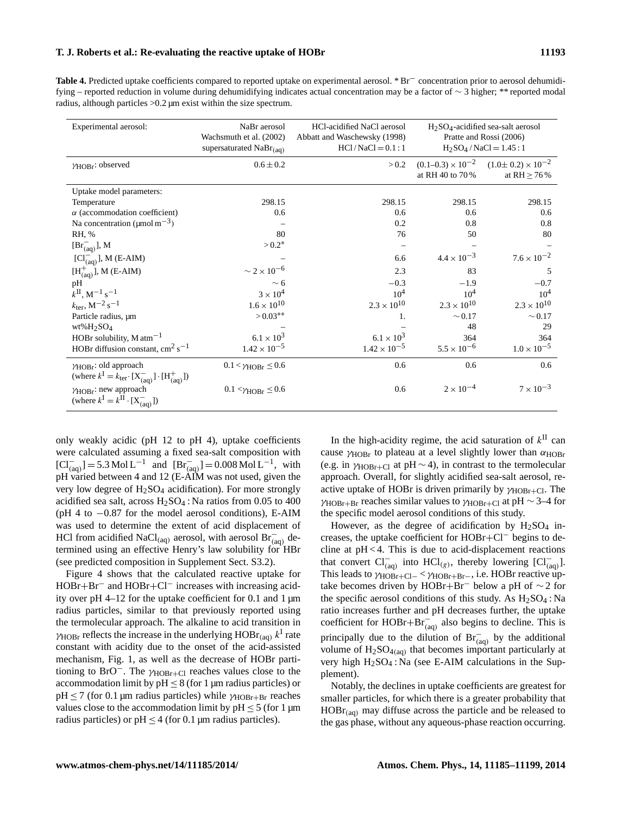**Table 4.** Predicted uptake coefficients compared to reported uptake on experimental aerosol. \* Br<sup>−</sup> concentration prior to aerosol dehumidifying – reported reduction in volume during dehumidifying indicates actual concentration may be a factor of ∼ 3 higher; \*\* reported modal radius, although particles >0.2 µm exist within the size spectrum.

| Experimental aerosol:                                                                                    | NaBr aerosol<br>Wachsmuth et al. (2002)<br>supersaturated $NaBr_{(aq)}$ | HCl-acidified NaCl aerosol<br>Abbatt and Waschewsky (1998)<br>$HC1/NaCl = 0.1:1$ | $H2SO4$ -acidified sea-salt aerosol<br>Pratte and Rossi (2006)<br>$H_2SO_4$ / NaCl = 1.45 : 1 |                                                    |
|----------------------------------------------------------------------------------------------------------|-------------------------------------------------------------------------|----------------------------------------------------------------------------------|-----------------------------------------------------------------------------------------------|----------------------------------------------------|
| YHOBr: observed                                                                                          | $0.6 \pm 0.2$                                                           | > 0.2                                                                            | $(0.1-0.3) \times 10^{-2}$<br>at RH 40 to 70%                                                 | $(1.0 \pm 0.2) \times 10^{-2}$<br>at RH $\geq$ 76% |
| Uptake model parameters:                                                                                 |                                                                         |                                                                                  |                                                                                               |                                                    |
| Temperature                                                                                              | 298.15                                                                  | 298.15                                                                           | 298.15                                                                                        | 298.15                                             |
| $\alpha$ (accommodation coefficient)                                                                     | 0.6                                                                     | 0.6                                                                              | 0.6                                                                                           | 0.6                                                |
| Na concentration ( $\mu$ mol m <sup>-3</sup> )                                                           |                                                                         | 0.2                                                                              | 0.8                                                                                           | 0.8                                                |
| RH, %                                                                                                    | 80                                                                      | 76                                                                               | 50                                                                                            | 80                                                 |
| $[Br_{(aa)}^{-}]$ , M                                                                                    | $> 0.2*$                                                                |                                                                                  |                                                                                               |                                                    |
| $[C_{(aq)}]$ , M (E-AIM)                                                                                 |                                                                         | 6.6                                                                              | $4.4 \times 10^{-3}$                                                                          | $7.6 \times 10^{-2}$                               |
| $[H_{(aq)}^+]$ , M (E-AIM)                                                                               | $\sim 2\times 10^{-6}$                                                  | 2.3                                                                              | 83                                                                                            | .5                                                 |
| pH                                                                                                       | $\sim 6$                                                                | $-0.3$                                                                           | $-1.9$                                                                                        | $-0.7$                                             |
| $k^{II}$ , M <sup>-1</sup> s <sup>-1</sup>                                                               | $3 \times 10^4$                                                         | 10 <sup>4</sup>                                                                  | 10 <sup>4</sup>                                                                               | $10^{4}$                                           |
| $k_{\text{ter}}, M^{-2} s^{-1}$                                                                          | $1.6 \times 10^{10}$                                                    | $2.3 \times 10^{10}$                                                             | $2.3 \times 10^{10}$                                                                          | $2.3 \times 10^{10}$                               |
| Particle radius, um                                                                                      | $> 0.03**$                                                              | 1.                                                                               | $\sim 0.17$                                                                                   | $\sim 0.17$                                        |
| $wt\%H_2SO_4$                                                                                            |                                                                         |                                                                                  | 48                                                                                            | 29                                                 |
| HOBr solubility, $M \text{ atm}^{-1}$                                                                    | $6.1 \times 10^{3}$                                                     | $6.1 \times 10^{3}$                                                              | 364                                                                                           | 364                                                |
| HOBr diffusion constant, $\text{cm}^2 \text{ s}^{-1}$                                                    | $1.42 \times 10^{-5}$                                                   | $1.42 \times 10^{-5}$                                                            | $5.5 \times 10^{-6}$                                                                          | $1.0 \times 10^{-5}$                               |
| $\gamma$ HOBr: old approach<br>(where $k^I = k_{\text{ter}} \cdot [X_{(aq)}^-] \cdot [H_{(aq)}^+]$ )     | $0.1 < \gamma_{HORr} \leq 0.6$                                          | 0.6                                                                              | 0.6                                                                                           | 0.6                                                |
| $\gamma$ HOB <sub>r</sub> : new approach<br>(where $k^{\text{I}} = k^{\text{II}} \cdot [X_{(aq)}^{-}]$ ) | $0.1 < \gamma$ HOBr $\leq 0.6$                                          | 0.6                                                                              | $2 \times 10^{-4}$                                                                            | $7 \times 10^{-3}$                                 |

only weakly acidic (pH 12 to pH 4), uptake coefficients were calculated assuming a fixed sea-salt composition with  $\left[\text{Cl}^{-}_{(aq)}\right] = 5.3 \text{ Mol L}^{-1}$  and  $\left[\text{Br}^{-}_{(aq)}\right] = 0.008 \text{ Mol L}^{-1}$ , with pH varied between 4 and 12 (E-AIM was not used, given the very low degree of  $H_2SO_4$  acidification). For more strongly acidified sea salt, across  $H_2SO_4$ : Na ratios from 0.05 to 400 (pH 4 to −0.87 for the model aerosol conditions), E-AIM was used to determine the extent of acid displacement of HCl from acidified NaCl<sub>(aq)</sub> aerosol, with aerosol Br<sub>(aq)</sub> determined using an effective Henry's law solubility for HBr (see predicted composition in Supplement Sect. S3.2).

Figure 4 shows that the calculated reactive uptake for HOBr+Br<sup>−</sup> and HOBr+Cl<sup>−</sup> increases with increasing acidity over pH 4–12 for the uptake coefficient for 0.1 and 1  $\mu$ m radius particles, similar to that previously reported using the termolecular approach. The alkaline to acid transition in  $\gamma_{\text{HOBr}}$  reflects the increase in the underlying  $\text{HOBr}_{\text{(aq)}} k^{\text{I}}$  rate constant with acidity due to the onset of the acid-assisted mechanism, Fig. 1, as well as the decrease of HOBr partitioning to BrO<sup>-</sup>. The  $\gamma_{HOBr+C1}$  reaches values close to the accommodation limit by  $pH \leq 8$  (for 1 µm radius particles) or  $pH \le 7$  (for 0.1 μm radius particles) while γ<sub>HOBr+Br</sub> reaches values close to the accommodation limit by  $pH \le 5$  (for 1 µm radius particles) or  $pH \leq 4$  (for 0.1 µm radius particles).

In the high-acidity regime, the acid saturation of  $k<sup>H</sup>$  can cause  $\gamma_{HOBr}$  to plateau at a level slightly lower than  $\alpha_{HOBr}$ (e.g. in  $\gamma_{HOBr+C1}$  at pH ~ 4), in contrast to the termolecular approach. Overall, for slightly acidified sea-salt aerosol, reactive uptake of HOBr is driven primarily by  $\gamma_{HORr+C}$ . The  $\gamma_{HOBr+Br}$  reaches similar values to  $\gamma_{HOBr+Cl}$  at pH ~ 3–4 for the specific model aerosol conditions of this study.

However, as the degree of acidification by  $H<sub>2</sub>SO<sub>4</sub>$  increases, the uptake coefficient for HOBr+Cl<sup>−</sup> begins to decline at  $pH < 4$ . This is due to acid-displacement reactions that convert  $Cl^{-}_{(aq)}$  into  $HCl_{(g)}$ , thereby lowering  $[Cl^{-}_{(aq)}]$ . This leads to  $\gamma_{HOBr+C1-}$  <  $\gamma_{HOBr+Br-}$ , i.e. HOBr reactive uptake becomes driven by HOBr+Br<sup>−</sup> below a pH of ∼ 2 for the specific aerosol conditions of this study. As  $H_2SO_4$ : Na ratio increases further and pH decreases further, the uptake coefficient for HOBr+Br $^{-1}_{(aq)}$  also begins to decline. This is principally due to the dilution of  $\text{Br}^{-}_{(aq)}$  by the additional volume of  $H_2SO_{4(aq)}$  that becomes important particularly at very high  $H_2SO_4$ : Na (see E-AIM calculations in the Supplement).

Notably, the declines in uptake coefficients are greatest for smaller particles, for which there is a greater probability that  $HOBr_{(aq)}$  may diffuse across the particle and be released to the gas phase, without any aqueous-phase reaction occurring.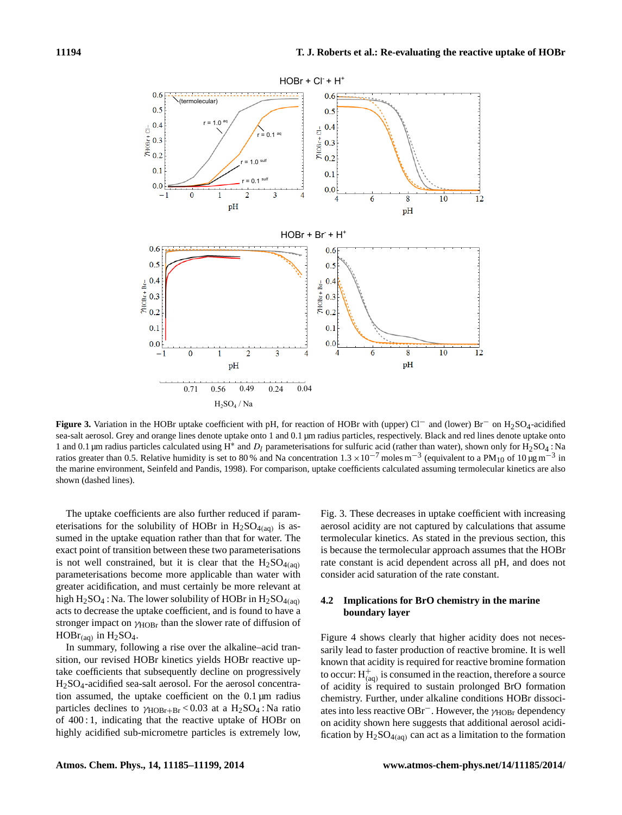

**Figure 3.** Variation in the HOBr uptake coefficient with pH, for reaction of HOBr with (upper) Cl<sup>−</sup> and (lower) Br<sup>−</sup> on H2SO4-acidified sea-salt aerosol. Grey and orange lines denote uptake onto 1 and 0.1 µm radius particles, respectively. Black and red lines denote uptake onto 1 and 0.1 μm radius particles calculated using H<sup>∗</sup> and D<sub>l</sub> parameterisations for sulfuric acid (rather than water), shown only for H<sub>2</sub>SO<sub>4</sub>: Na ratios greater than 0.5. Relative humidity is set to 80% and Na concentration  $1.3 \times 10^{-7}$  moles m<sup>-3</sup> (equivalent to a PM<sub>10</sub> of 10  $\mu$ g m<sup>-3</sup> in the marine environment, Seinfeld and Pandis, 1998). For comparison, uptake coefficients calculated assuming termolecular kinetics are also shown (dashed lines).

The uptake coefficients are also further reduced if parameterisations for the solubility of HOBr in  $H_2SO_{4(aq)}$  is assumed in the uptake equation rather than that for water. The exact point of transition between these two parameterisations is not well constrained, but it is clear that the  $H_2SO_{4(aq)}$ parameterisations become more applicable than water with greater acidification, and must certainly be more relevant at high  $H_2SO_4$ : Na. The lower solubility of HOBr in  $H_2SO_{4(aq)}$ acts to decrease the uptake coefficient, and is found to have a stronger impact on  $\gamma$ HOB<sub>r</sub> than the slower rate of diffusion of  $HOBr_{(aq)}$  in  $H_2SO_4$ .

In summary, following a rise over the alkaline–acid transition, our revised HOBr kinetics yields HOBr reactive uptake coefficients that subsequently decline on progressively H2SO4-acidified sea-salt aerosol. For the aerosol concentration assumed, the uptake coefficient on the 0.1 µm radius particles declines to  $\gamma_{HOBr+Br} < 0.03$  at a  $H_2SO_4$ : Na ratio of 400 : 1, indicating that the reactive uptake of HOBr on highly acidified sub-micrometre particles is extremely low, Fig. 3. These decreases in uptake coefficient with increasing aerosol acidity are not captured by calculations that assume termolecular kinetics. As stated in the previous section, this is because the termolecular approach assumes that the HOBr rate constant is acid dependent across all pH, and does not consider acid saturation of the rate constant.

### **4.2 Implications for BrO chemistry in the marine boundary layer**

Figure 4 shows clearly that higher acidity does not necessarily lead to faster production of reactive bromine. It is well known that acidity is required for reactive bromine formation to occur:  $H^+_{(aq)}$  is consumed in the reaction, therefore a source of acidity is required to sustain prolonged BrO formation chemistry. Further, under alkaline conditions HOBr dissociates into less reactive OBr<sup>−</sup>. However, the γ<sub>HOBr</sub> dependency on acidity shown here suggests that additional aerosol acidification by  $H_2SO_{4(aq)}$  can act as a limitation to the formation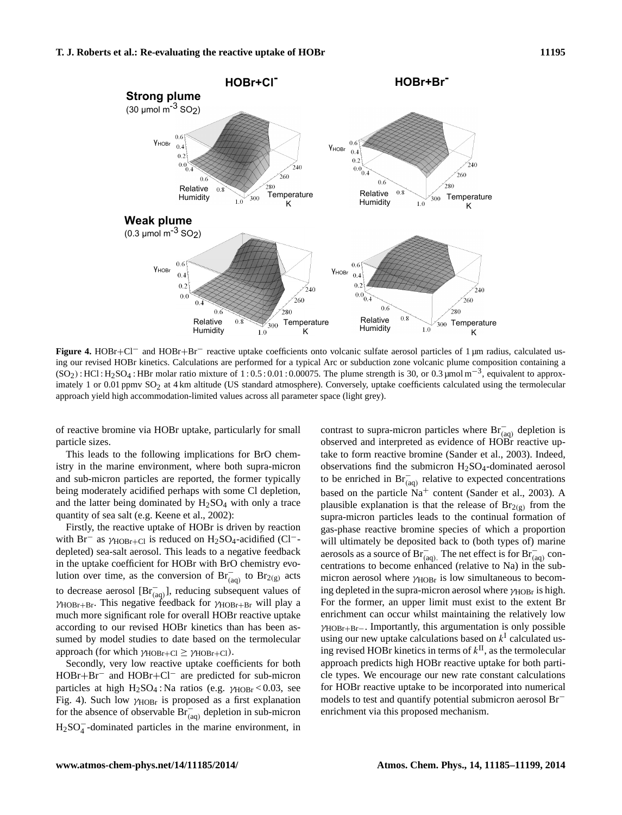

**Figure 4.** HOBr+Cl<sup>−</sup> and HOBr+Br<sup>−</sup> reactive uptake coefficients onto volcanic sulfate aerosol particles of 1 µm radius, calculated using our revised HOBr kinetics. Calculations are performed for a typical Arc or subduction zone volcanic plume composition containing a  $(SO_2)$ : HCl : H<sub>2</sub>SO<sub>4</sub> : HBr molar ratio mixture of 1 : 0.5 : 0.01 : 0.00075. The plume strength is 30, or 0.3 µmol m<sup>-3</sup>, equivalent to approximately 1 or 0.01 ppmv  $SO_2$  at 4 km altitude (US standard atmosphere). Conversely, uptake coefficients calculated using the termolecular approach yield high accommodation-limited values across all parameter space (light grey).

of reactive bromine via HOBr uptake, particularly for small particle sizes.

This leads to the following implications for BrO chemistry in the marine environment, where both supra-micron and sub-micron particles are reported, the former typically being moderately acidified perhaps with some Cl depletion, and the latter being dominated by  $H<sub>2</sub>SO<sub>4</sub>$  with only a trace quantity of sea salt (e.g. Keene et al., 2002):

Firstly, the reactive uptake of HOBr is driven by reaction with Br<sup>−</sup> as  $\gamma_{HOBr+C1}$  is reduced on H<sub>2</sub>SO<sub>4</sub>-acidified (Cl<sup>−</sup>depleted) sea-salt aerosol. This leads to a negative feedback in the uptake coefficient for HOBr with BrO chemistry evolution over time, as the conversion of  $\text{Br}_{(aq)}^-$  to  $\text{Br}_{(g)}^-$  acts to decrease aerosol  $[Br^-_{(aq)}]$ , reducing subsequent values of  $\gamma$ HOBr+Br. This negative feedback for  $\gamma$ HOBr+Br will play a much more significant role for overall HOBr reactive uptake according to our revised HOBr kinetics than has been assumed by model studies to date based on the termolecular approach (for which  $\gamma_{HOBr+Cl} \geq \gamma_{HOBr+Cl}$ ).

Secondly, very low reactive uptake coefficients for both HOBr+Br<sup>−</sup> and HOBr+Cl<sup>−</sup> are predicted for sub-micron particles at high H<sub>2</sub>SO<sub>4</sub> : Na ratios (e.g.  $\gamma_{\text{HOBr}}$  < 0.03, see Fig. 4). Such low  $\gamma_{HOBr}$  is proposed as a first explanation for the absence of observable  $\text{Br}^-_{(aq)}$  depletion in sub-micron  $H_2SO_4^-$ -dominated particles in the marine environment, in

contrast to supra-micron particles where  $\text{Br}^-_{(aq)}$  depletion is observed and interpreted as evidence of HOBr reactive uptake to form reactive bromine (Sander et al., 2003). Indeed, observations find the submicron  $H_2SO_4$ -dominated aerosol to be enriched in  $\text{Br}_{(aq)}^-$  relative to expected concentrations based on the particle  $Na<sup>+</sup>$  content (Sander et al., 2003). A plausible explanation is that the release of  $\text{Br}_{2}(\mathbf{g})$  from the supra-micron particles leads to the continual formation of gas-phase reactive bromine species of which a proportion will ultimately be deposited back to (both types of) marine aerosols as a source of  $\text{Br}^-_{(aq)}$ . The net effect is for  $\text{Br}^-_{(aq)}$  concentrations to become enhanced (relative to Na) in the submicron aerosol where  $\gamma_{HOBr}$  is low simultaneous to becoming depleted in the supra-micron aerosol where  $\gamma_{HOBr}$  is high. For the former, an upper limit must exist to the extent Br enrichment can occur whilst maintaining the relatively low  $\gamma_{HOBr+Br-}$ . Importantly, this argumentation is only possible using our new uptake calculations based on  $k<sup>I</sup>$  calculated using revised HOBr kinetics in terms of  $k<sup>H</sup>$ , as the termolecular approach predicts high HOBr reactive uptake for both particle types. We encourage our new rate constant calculations for HOBr reactive uptake to be incorporated into numerical models to test and quantify potential submicron aerosol Br<sup>−</sup> enrichment via this proposed mechanism.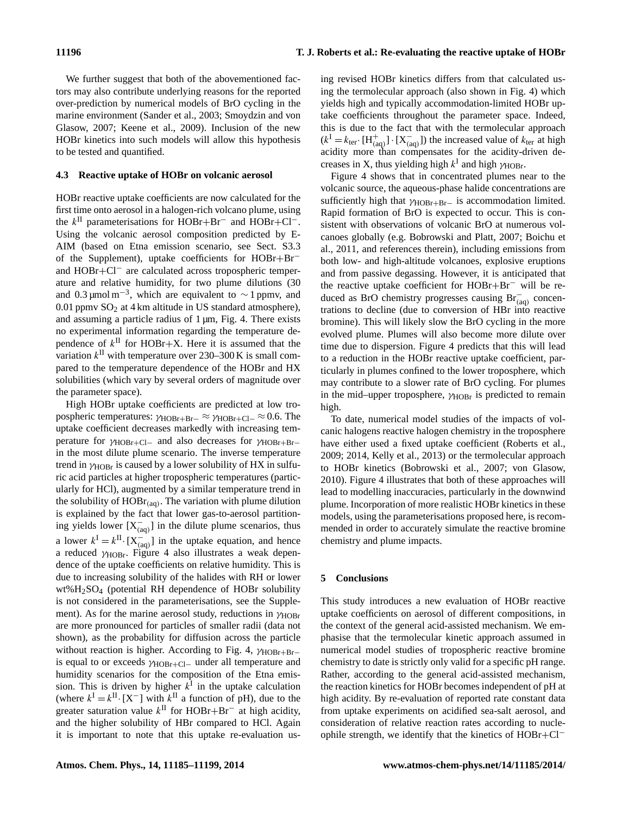We further suggest that both of the abovementioned factors may also contribute underlying reasons for the reported over-prediction by numerical models of BrO cycling in the marine environment (Sander et al., 2003; Smoydzin and von Glasow, 2007; Keene et al., 2009). Inclusion of the new HOBr kinetics into such models will allow this hypothesis to be tested and quantified.

#### **4.3 Reactive uptake of HOBr on volcanic aerosol**

HOBr reactive uptake coefficients are now calculated for the first time onto aerosol in a halogen-rich volcano plume, using the  $k$ <sup>II</sup> parameterisations for HOBr+Br<sup>-</sup> and HOBr+Cl<sup>-</sup>. Using the volcanic aerosol composition predicted by E-AIM (based on Etna emission scenario, see Sect. S3.3 of the Supplement), uptake coefficients for HOBr+Br<sup>−</sup> and HOBr+Cl<sup>−</sup> are calculated across tropospheric temperature and relative humidity, for two plume dilutions (30 and 0.3 µmol m<sup>-3</sup>, which are equivalent to  $\sim$  1 ppmv, and  $0.01$  ppmv SO<sub>2</sub> at 4 km altitude in US standard atmosphere), and assuming a particle radius of 1 µm, Fig. 4. There exists no experimental information regarding the temperature dependence of  $k^{\text{II}}$  for HOBr+X. Here it is assumed that the variation  $k^{\text{II}}$  with temperature over 230–300 K is small compared to the temperature dependence of the HOBr and HX solubilities (which vary by several orders of magnitude over the parameter space).

High HOBr uptake coefficients are predicted at low tropospheric temperatures:  $\gamma_{\text{HOBr+Br}-} \approx \gamma_{\text{HOBr}+Cl-} \approx 0.6$ . The uptake coefficient decreases markedly with increasing temperature for  $\gamma_{HOBr+Cl-}$  and also decreases for  $\gamma_{HOBr+Br-}$ in the most dilute plume scenario. The inverse temperature trend in  $\gamma_{HOBr}$  is caused by a lower solubility of HX in sulfuric acid particles at higher tropospheric temperatures (particularly for HCl), augmented by a similar temperature trend in the solubility of  $HOBr_{(aq)}$ . The variation with plume dilution is explained by the fact that lower gas-to-aerosol partitioning yields lower  $[X_{(aq)}^-]$  in the dilute plume scenarios, thus a lower  $k^{\text{I}} = k^{\text{II}} \cdot [X_{\text{(aq)}}^-]$  in the uptake equation, and hence a reduced  $\gamma_{HOBr}$ . Figure 4 also illustrates a weak dependence of the uptake coefficients on relative humidity. This is due to increasing solubility of the halides with RH or lower wt%H2SO<sup>4</sup> (potential RH dependence of HOBr solubility is not considered in the parameterisations, see the Supplement). As for the marine aerosol study, reductions in  $\gamma_{HOBr}$ are more pronounced for particles of smaller radii (data not shown), as the probability for diffusion across the particle without reaction is higher. According to Fig. 4,  $\gamma$ <sub>HOBr+Br</sub>− is equal to or exceeds  $\gamma_{HOBr+Cl}$  under all temperature and humidity scenarios for the composition of the Etna emission. This is driven by higher  $k<sup>I</sup>$  in the uptake calculation (where  $k^{\text{I}} = k^{\text{II}} \cdot [X^-]$  with  $k^{\text{II}}$  a function of pH), due to the greater saturation value  $k$ <sup>II</sup> for HOBr+Br<sup>-</sup> at high acidity, and the higher solubility of HBr compared to HCl. Again it is important to note that this uptake re-evaluation using revised HOBr kinetics differs from that calculated using the termolecular approach (also shown in Fig. 4) which yields high and typically accommodation-limited HOBr uptake coefficients throughout the parameter space. Indeed, this is due to the fact that with the termolecular approach  $(k^I = k_{\text{ter}} \cdot [H_{(aq)}^+] \cdot [X_{(aq)}^-]$  the increased value of  $k_{\text{ter}}$  at high acidity more than compensates for the acidity-driven decreases in X, thus yielding high  $k^I$  and high  $\gamma_{\text{HOBr}}$ .

Figure 4 shows that in concentrated plumes near to the volcanic source, the aqueous-phase halide concentrations are sufficiently high that  $\gamma_{\text{HOBr+Br}-}$  is accommodation limited. Rapid formation of BrO is expected to occur. This is consistent with observations of volcanic BrO at numerous volcanoes globally (e.g. Bobrowski and Platt, 2007; Boichu et al., 2011, and references therein), including emissions from both low- and high-altitude volcanoes, explosive eruptions and from passive degassing. However, it is anticipated that the reactive uptake coefficient for HOBr+Br<sup>−</sup> will be reduced as BrO chemistry progresses causing Br<sub>(aq)</sub> concentrations to decline (due to conversion of HBr into reactive bromine). This will likely slow the BrO cycling in the more evolved plume. Plumes will also become more dilute over time due to dispersion. Figure 4 predicts that this will lead to a reduction in the HOBr reactive uptake coefficient, particularly in plumes confined to the lower troposphere, which may contribute to a slower rate of BrO cycling. For plumes in the mid–upper troposphere,  $\gamma_{HOBr}$  is predicted to remain high.

To date, numerical model studies of the impacts of volcanic halogens reactive halogen chemistry in the troposphere have either used a fixed uptake coefficient (Roberts et al., 2009; 2014, Kelly et al., 2013) or the termolecular approach to HOBr kinetics (Bobrowski et al., 2007; von Glasow, 2010). Figure 4 illustrates that both of these approaches will lead to modelling inaccuracies, particularly in the downwind plume. Incorporation of more realistic HOBr kinetics in these models, using the parameterisations proposed here, is recommended in order to accurately simulate the reactive bromine chemistry and plume impacts.

#### **5 Conclusions**

This study introduces a new evaluation of HOBr reactive uptake coefficients on aerosol of different compositions, in the context of the general acid-assisted mechanism. We emphasise that the termolecular kinetic approach assumed in numerical model studies of tropospheric reactive bromine chemistry to date is strictly only valid for a specific pH range. Rather, according to the general acid-assisted mechanism, the reaction kinetics for HOBr becomes independent of pH at high acidity. By re-evaluation of reported rate constant data from uptake experiments on acidified sea-salt aerosol, and consideration of relative reaction rates according to nucleophile strength, we identify that the kinetics of HOBr+Cl<sup>−</sup>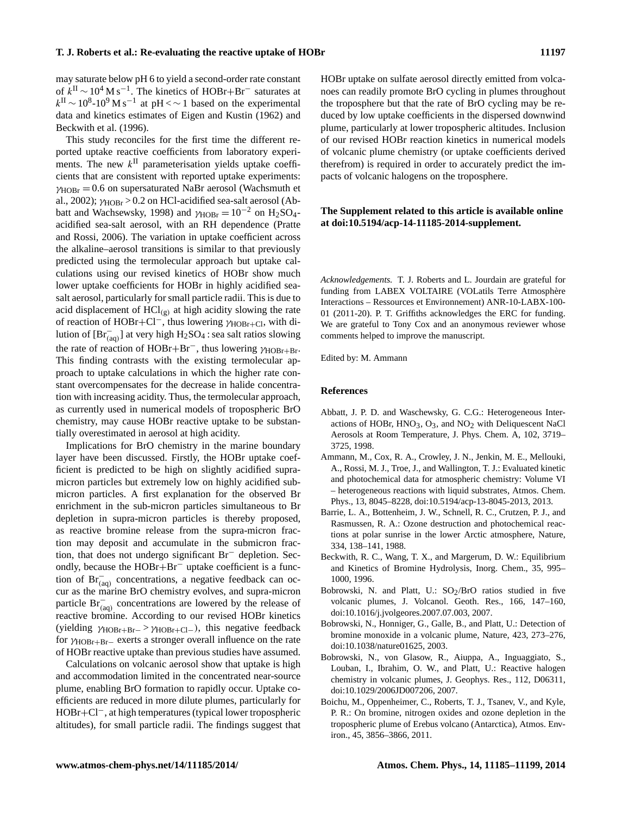may saturate below pH 6 to yield a second-order rate constant of  $k^{\text{II}} \sim 10^4 \text{ M s}^{-1}$ . The kinetics of HOBr+Br<sup>-</sup> saturates at  $k^{\text{II}} \sim 10^8$ -10<sup>9</sup> M s<sup>-1</sup> at pH <  $\sim$  1 based on the experimental data and kinetics estimates of Eigen and Kustin (1962) and Beckwith et al. (1996).

This study reconciles for the first time the different reported uptake reactive coefficients from laboratory experiments. The new  $k^{\text{II}}$  parameterisation yields uptake coefficients that are consistent with reported uptake experiments:  $\gamma_{HORr} = 0.6$  on supersaturated NaBr aerosol (Wachsmuth et al., 2002);  $\gamma_{\text{HOBr}} > 0.2$  on HCl-acidified sea-salt aerosol (Abbatt and Wachsewsky, 1998) and  $\gamma_{HORr} = 10^{-2}$  on H<sub>2</sub>SO<sub>4</sub>acidified sea-salt aerosol, with an RH dependence (Pratte and Rossi, 2006). The variation in uptake coefficient across the alkaline–aerosol transitions is similar to that previously predicted using the termolecular approach but uptake calculations using our revised kinetics of HOBr show much lower uptake coefficients for HOBr in highly acidified seasalt aerosol, particularly for small particle radii. This is due to acid displacement of  $\text{HCl}_{\left(g\right)}$  at high acidity slowing the rate of reaction of HOBr+Cl<sup>−</sup>, thus lowering  $\gamma_{\text{HOBr}+Cl}$ , with dilution of  $[Br^-_{(aq)}]$  at very high  $H_2SO_4$ : sea salt ratios slowing the rate of reaction of HOBr+Br<sup>-</sup>, thus lowering  $\gamma_{HORr+Br}$ . This finding contrasts with the existing termolecular approach to uptake calculations in which the higher rate constant overcompensates for the decrease in halide concentration with increasing acidity. Thus, the termolecular approach, as currently used in numerical models of tropospheric BrO chemistry, may cause HOBr reactive uptake to be substantially overestimated in aerosol at high acidity.

Implications for BrO chemistry in the marine boundary layer have been discussed. Firstly, the HOBr uptake coefficient is predicted to be high on slightly acidified supramicron particles but extremely low on highly acidified submicron particles. A first explanation for the observed Br enrichment in the sub-micron particles simultaneous to Br depletion in supra-micron particles is thereby proposed, as reactive bromine release from the supra-micron fraction may deposit and accumulate in the submicron fraction, that does not undergo significant Br<sup>−</sup> depletion. Secondly, because the HOBr+Br<sup>−</sup> uptake coefficient is a function of Br<sup>−</sup> (aq) concentrations, a negative feedback can occur as the marine BrO chemistry evolves, and supra-micron particle  $\text{Br}_{(aq)}^-$  concentrations are lowered by the release of reactive bromine. According to our revised HOBr kinetics (yielding  $\gamma_{HOBr+Br-} > \gamma_{HOBr+Cl-}$ ), this negative feedback for  $\gamma_{\text{HOBr+Br}-}$  exerts a stronger overall influence on the rate of HOBr reactive uptake than previous studies have assumed.

Calculations on volcanic aerosol show that uptake is high and accommodation limited in the concentrated near-source plume, enabling BrO formation to rapidly occur. Uptake coefficients are reduced in more dilute plumes, particularly for HOBr+Cl−, at high temperatures (typical lower tropospheric altitudes), for small particle radii. The findings suggest that HOBr uptake on sulfate aerosol directly emitted from volcanoes can readily promote BrO cycling in plumes throughout the troposphere but that the rate of BrO cycling may be reduced by low uptake coefficients in the dispersed downwind plume, particularly at lower tropospheric altitudes. Inclusion of our revised HOBr reaction kinetics in numerical models of volcanic plume chemistry (or uptake coefficients derived therefrom) is required in order to accurately predict the impacts of volcanic halogens on the troposphere.

## **The Supplement related to this article is available online at [doi:10.5194/acp-14-11185-2014-supplement.](http://dx.doi.org/10.5194/acp-14-11185-2014-supplement)**

*Acknowledgements.* T. J. Roberts and L. Jourdain are grateful for funding from LABEX VOLTAIRE (VOLatils Terre Atmosphère Interactions – Ressources et Environnement) ANR-10-LABX-100- 01 (2011-20). P. T. Griffiths acknowledges the ERC for funding. We are grateful to Tony Cox and an anonymous reviewer whose comments helped to improve the manuscript.

Edited by: M. Ammann

#### **References**

- Abbatt, J. P. D. and Waschewsky, G. C.G.: Heterogeneous Interactions of HOBr, HNO<sub>3</sub>, O<sub>3</sub>, and NO<sub>2</sub> with Deliquescent NaCl Aerosols at Room Temperature, J. Phys. Chem. A, 102, 3719– 3725, 1998.
- Ammann, M., Cox, R. A., Crowley, J. N., Jenkin, M. E., Mellouki, A., Rossi, M. J., Troe, J., and Wallington, T. J.: Evaluated kinetic and photochemical data for atmospheric chemistry: Volume VI – heterogeneous reactions with liquid substrates, Atmos. Chem. Phys., 13, 8045–8228, doi[:10.5194/acp-13-8045-2013,](http://dx.doi.org/10.5194/acp-13-8045-2013) 2013.
- Barrie, L. A., Bottenheim, J. W., Schnell, R. C., Crutzen, P. J., and Rasmussen, R. A.: Ozone destruction and photochemical reactions at polar sunrise in the lower Arctic atmosphere, Nature, 334, 138–141, 1988.
- Beckwith, R. C., Wang, T. X., and Margerum, D. W.: Equilibrium and Kinetics of Bromine Hydrolysis, Inorg. Chem., 35, 995– 1000, 1996.
- Bobrowski, N. and Platt, U.:  $SO_2/BrO$  ratios studied in five volcanic plumes, J. Volcanol. Geoth. Res., 166, 147–160, doi[:10.1016/j.jvolgeores.2007.07.003,](http://dx.doi.org/10.1016/j.jvolgeores.2007.07.003) 2007.
- Bobrowski, N., Honniger, G., Galle, B., and Platt, U.: Detection of bromine monoxide in a volcanic plume, Nature, 423, 273–276, doi[:10.1038/nature01625,](http://dx.doi.org/10.1038/nature01625) 2003.
- Bobrowski, N., von Glasow, R., Aiuppa, A., Inguaggiato, S., Louban, I., Ibrahim, O. W., and Platt, U.: Reactive halogen chemistry in volcanic plumes, J. Geophys. Res., 112, D06311, doi[:10.1029/2006JD007206,](http://dx.doi.org/10.1029/2006JD007206) 2007.
- Boichu, M., Oppenheimer, C., Roberts, T. J., Tsanev, V., and Kyle, P. R.: On bromine, nitrogen oxides and ozone depletion in the tropospheric plume of Erebus volcano (Antarctica), Atmos. Environ., 45, 3856–3866, 2011.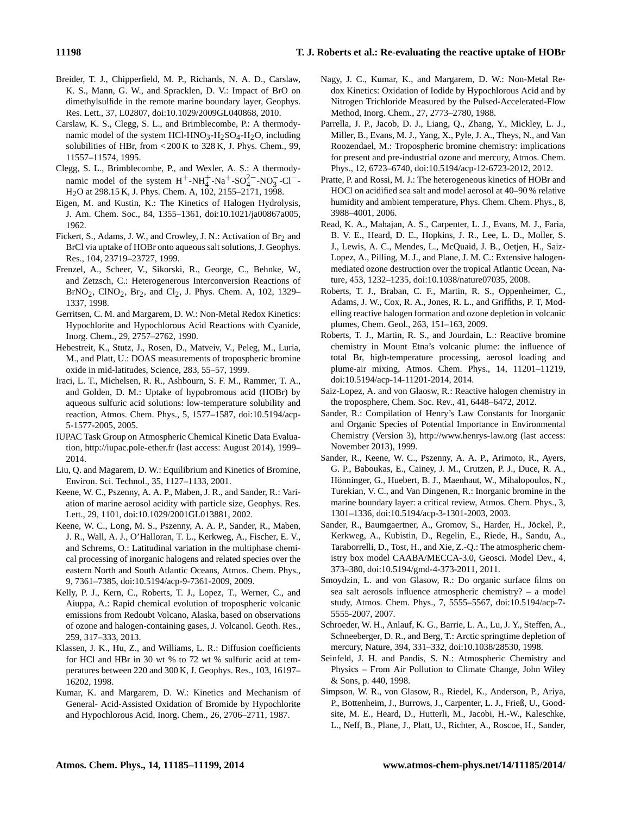- Breider, T. J., Chipperfield, M. P., Richards, N. A. D., Carslaw, K. S., Mann, G. W., and Spracklen, D. V.: Impact of BrO on dimethylsulfide in the remote marine boundary layer, Geophys. Res. Lett., 37, L02807, doi[:10.1029/2009GL040868,](http://dx.doi.org/10.1029/2009GL040868) 2010.
- Carslaw, K. S., Clegg, S. L., and Brimblecombe, P.: A thermodynamic model of the system HCl-HNO<sub>3</sub>-H<sub>2</sub>SO<sub>4</sub>-H<sub>2</sub>O, including solubilities of HBr, from < 200 K to 328 K, J. Phys. Chem., 99, 11557–11574, 1995.
- Clegg, S. L., Brimblecombe, P., and Wexler, A. S.: A thermodynamic model of the system  $H^+$ -NH<sup>+</sup><sub>4</sub>-Na<sup>+</sup>-SO<sub>4</sub><sup>2</sup>-NO<sub>3</sub>-Cl<sup>-</sup>-H2O at 298.15 K, J. Phys. Chem. A, 102, 2155–2171, 1998.
- Eigen, M. and Kustin, K.: The Kinetics of Halogen Hydrolysis, J. Am. Chem. Soc., 84, 1355–1361, doi[:10.1021/ja00867a005,](http://dx.doi.org/10.1021/ja00867a005) 1962.
- Fickert, S., Adams, J. W., and Crowley, J. N.: Activation of Br<sub>2</sub> and BrCl via uptake of HOBr onto aqueous salt solutions, J. Geophys. Res., 104, 23719–23727, 1999.
- Frenzel, A., Scheer, V., Sikorski, R., George, C., Behnke, W., and Zetzsch, C.: Heterogenerous Interconversion Reactions of  $BrNO_2$ ,  $CINO_2$ ,  $Br_2$ , and  $Cl_2$ , J. Phys. Chem. A, 102, 1329– 1337, 1998.
- Gerritsen, C. M. and Margarem, D. W.: Non-Metal Redox Kinetics: Hypochlorite and Hypochlorous Acid Reactions with Cyanide, Inorg. Chem., 29, 2757–2762, 1990.
- Hebestreit, K., Stutz, J., Rosen, D., Matveiv, V., Peleg, M., Luria, M., and Platt, U.: DOAS measurements of tropospheric bromine oxide in mid-latitudes, Science, 283, 55–57, 1999.
- Iraci, L. T., Michelsen, R. R., Ashbourn, S. F. M., Rammer, T. A., and Golden, D. M.: Uptake of hypobromous acid (HOBr) by aqueous sulfuric acid solutions: low-temperature solubility and reaction, Atmos. Chem. Phys., 5, 1577–1587, doi[:10.5194/acp-](http://dx.doi.org/10.5194/acp-5-1577-2005)[5-1577-2005,](http://dx.doi.org/10.5194/acp-5-1577-2005) 2005.
- IUPAC Task Group on Atmospheric Chemical Kinetic Data Evaluation, <http://iupac.pole-ether.fr> (last access: August 2014), 1999– 2014.
- Liu, Q. and Magarem, D. W.: Equilibrium and Kinetics of Bromine, Environ. Sci. Technol., 35, 1127–1133, 2001.
- Keene, W. C., Pszenny, A. A. P., Maben, J. R., and Sander, R.: Variation of marine aerosol acidity with particle size, Geophys. Res. Lett., 29, 1101, doi[:10.1029/2001GL013881,](http://dx.doi.org/10.1029/2001GL013881) 2002.
- Keene, W. C., Long, M. S., Pszenny, A. A. P., Sander, R., Maben, J. R., Wall, A. J., O'Halloran, T. L., Kerkweg, A., Fischer, E. V., and Schrems, O.: Latitudinal variation in the multiphase chemical processing of inorganic halogens and related species over the eastern North and South Atlantic Oceans, Atmos. Chem. Phys., 9, 7361–7385, doi[:10.5194/acp-9-7361-2009,](http://dx.doi.org/10.5194/acp-9-7361-2009) 2009.
- Kelly, P. J., Kern, C., Roberts, T. J., Lopez, T., Werner, C., and Aiuppa, A.: Rapid chemical evolution of tropospheric volcanic emissions from Redoubt Volcano, Alaska, based on observations of ozone and halogen-containing gases, J. Volcanol. Geoth. Res., 259, 317–333, 2013.
- Klassen, J. K., Hu, Z., and Williams, L. R.: Diffusion coefficients for HCl and HBr in 30 wt % to 72 wt % sulfuric acid at temperatures between 220 and 300 K, J. Geophys. Res., 103, 16197– 16202, 1998.
- Kumar, K. and Margarem, D. W.: Kinetics and Mechanism of General- Acid-Assisted Oxidation of Bromide by Hypochlorite and Hypochlorous Acid, Inorg. Chem., 26, 2706–2711, 1987.
- Nagy, J. C., Kumar, K., and Margarem, D. W.: Non-Metal Redox Kinetics: Oxidation of Iodide by Hypochlorous Acid and by Nitrogen Trichloride Measured by the Pulsed-Accelerated-Flow Method, Inorg. Chem., 27, 2773–2780, 1988.
- Parrella, J. P., Jacob, D. J., Liang, Q., Zhang, Y., Mickley, L. J., Miller, B., Evans, M. J., Yang, X., Pyle, J. A., Theys, N., and Van Roozendael, M.: Tropospheric bromine chemistry: implications for present and pre-industrial ozone and mercury, Atmos. Chem. Phys., 12, 6723–6740, doi[:10.5194/acp-12-6723-2012,](http://dx.doi.org/10.5194/acp-12-6723-2012) 2012.
- Pratte, P. and Rossi, M. J.: The heterogeneous kinetics of HOBr and HOCl on acidified sea salt and model aerosol at 40–90 % relative humidity and ambient temperature, Phys. Chem. Chem. Phys., 8, 3988–4001, 2006.
- Read, K. A., Mahajan, A. S., Carpenter, L. J., Evans, M. J., Faria, B. V. E., Heard, D. E., Hopkins, J. R., Lee, L. D., Moller, S. J., Lewis, A. C., Mendes, L., McQuaid, J. B., Oetjen, H., Saiz-Lopez, A., Pilling, M. J., and Plane, J. M. C.: Extensive halogenmediated ozone destruction over the tropical Atlantic Ocean, Nature, 453, 1232–1235, doi[:10.1038/nature07035,](http://dx.doi.org/10.1038/nature07035) 2008.
- Roberts, T. J., Braban, C. F., Martin, R. S., Oppenheimer, C., Adams, J. W., Cox, R. A., Jones, R. L., and Griffiths, P. T, Modelling reactive halogen formation and ozone depletion in volcanic plumes, Chem. Geol., 263, 151–163, 2009.
- Roberts, T. J., Martin, R. S., and Jourdain, L.: Reactive bromine chemistry in Mount Etna's volcanic plume: the influence of total Br, high-temperature processing, aerosol loading and plume-air mixing, Atmos. Chem. Phys., 14, 11201–11219, doi[:10.5194/acp-14-11201-2014,](http://dx.doi.org/10.5194/acp-14-11201-2014) 2014.
- Saiz-Lopez, A. and von Glaosw, R.: Reactive halogen chemistry in the troposphere, Chem. Soc. Rev., 41, 6448–6472, 2012.
- Sander, R.: Compilation of Henry's Law Constants for Inorganic and Organic Species of Potential Importance in Environmental Chemistry (Version 3), <http://www.henrys-law.org> (last access: November 2013), 1999.
- Sander, R., Keene, W. C., Pszenny, A. A. P., Arimoto, R., Ayers, G. P., Baboukas, E., Cainey, J. M., Crutzen, P. J., Duce, R. A., Hönninger, G., Huebert, B. J., Maenhaut, W., Mihalopoulos, N., Turekian, V. C., and Van Dingenen, R.: Inorganic bromine in the marine boundary layer: a critical review, Atmos. Chem. Phys., 3, 1301–1336, doi[:10.5194/acp-3-1301-2003,](http://dx.doi.org/10.5194/acp-3-1301-2003) 2003.
- Sander, R., Baumgaertner, A., Gromov, S., Harder, H., Jöckel, P., Kerkweg, A., Kubistin, D., Regelin, E., Riede, H., Sandu, A., Taraborrelli, D., Tost, H., and Xie, Z.-Q.: The atmospheric chemistry box model CAABA/MECCA-3.0, Geosci. Model Dev., 4, 373–380, doi[:10.5194/gmd-4-373-2011,](http://dx.doi.org/10.5194/gmd-4-373-2011) 2011.
- Smoydzin, L. and von Glasow, R.: Do organic surface films on sea salt aerosols influence atmospheric chemistry? – a model study, Atmos. Chem. Phys., 7, 5555–5567, doi[:10.5194/acp-7-](http://dx.doi.org/10.5194/acp-7-5555-2007) [5555-2007,](http://dx.doi.org/10.5194/acp-7-5555-2007) 2007.
- Schroeder, W. H., Anlauf, K. G., Barrie, L. A., Lu, J. Y., Steffen, A., Schneeberger, D. R., and Berg, T.: Arctic springtime depletion of mercury, Nature, 394, 331–332, doi[:10.1038/28530,](http://dx.doi.org/10.1038/28530) 1998.
- Seinfeld, J. H. and Pandis, S. N.: Atmospheric Chemistry and Physics – From Air Pollution to Climate Change, John Wiley & Sons, p. 440, 1998.
- Simpson, W. R., von Glasow, R., Riedel, K., Anderson, P., Ariya, P., Bottenheim, J., Burrows, J., Carpenter, L. J., Frieß, U., Goodsite, M. E., Heard, D., Hutterli, M., Jacobi, H.-W., Kaleschke, L., Neff, B., Plane, J., Platt, U., Richter, A., Roscoe, H., Sander,